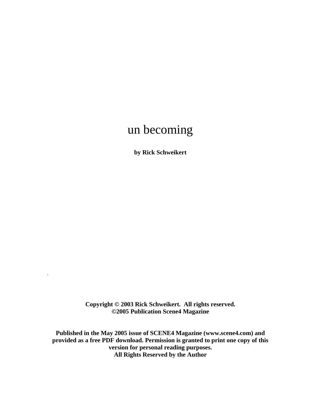# un becoming

**by Rick Schweikert** 

**Copyright © 2003 Rick Schweikert. All rights reserved. ©2005 Publication Scene4 Magazine** 

.

**Published in the May 2005 issue of SCENE4 Magazine (www.scene4.com) and provided as a free PDF download. Permission is granted to print one copy of this version for personal reading purposes. All Rights Reserved by the Author**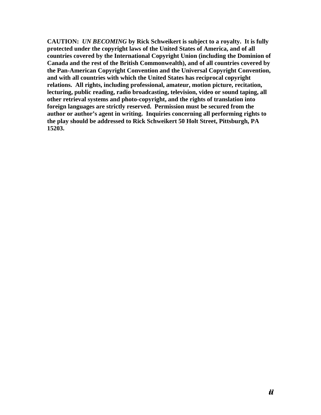**CAUTION:** *UN BECOMING* **by Rick Schweikert is subject to a royalty. It is fully protected under the copyright laws of the United States of America, and of all countries covered by the International Copyright Union (including the Dominion of Canada and the rest of the British Commonwealth), and of all countries covered by the Pan-American Copyright Convention and the Universal Copyright Convention, and with all countries with which the United States has reciprocal copyright relations. All rights, including professional, amateur, motion picture, recitation, lecturing, public reading, radio broadcasting, television, video or sound taping, all other retrieval systems and photo-copyright, and the rights of translation into foreign languages are strictly reserved. Permission must be secured from the author or author's agent in writing. Inquiries concerning all performing rights to the play should be addressed to Rick Schweikert 50 Holt Street, Pittsburgh, PA 15203.**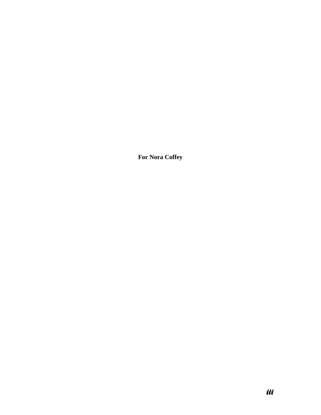**For Nora Coffey**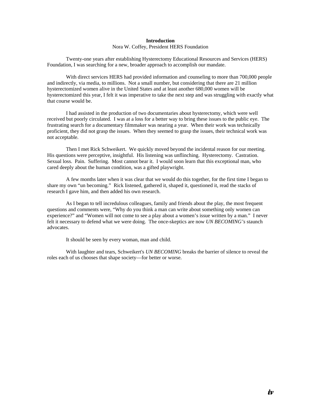## **Introduction**

### Nora W. Coffey, President HERS Foundation

Twenty-one years after establishing Hysterectomy Educational Resources and Services (HERS) Foundation, I was searching for a new, broader approach to accomplish our mandate.

With direct services HERS had provided information and counseling to more than 700,000 people and indirectly, via media, to millions. Not a small number, but considering that there are 21 million hysterectomized women alive in the United States and at least another 680,000 women will be hysterectomized this year, I felt it was imperative to take the next step and was struggling with exactly what that course would be.

I had assisted in the production of two documentaries about hysterectomy, which were well received but poorly circulated. I was at a loss for a better way to bring these issues to the public eye. The frustrating search for a documentary filmmaker was nearing a year. When their work was technically proficient, they did not grasp the issues. When they seemed to grasp the issues, their technical work was not acceptable.

Then I met Rick Schweikert. We quickly moved beyond the incidental reason for our meeting. His questions were perceptive, insightful. His listening was unflinching. Hysterectomy. Castration. Sexual loss. Pain. Suffering. Most cannot bear it. I would soon learn that this exceptional man, who cared deeply about the human condition, was a gifted playwright.

A few months later when it was clear that we would do this together, for the first time I began to share my own "un becoming." Rick listened, gathered it, shaped it, questioned it, read the stacks of research I gave him, and then added his own research.

As I began to tell incredulous colleagues, family and friends about the play, the most frequent questions and comments were, "Why do you think a man can write about something only women can experience?" and "Women will not come to see a play about a women's issue written by a man." I never felt it necessary to defend what we were doing. The once-skeptics are now *UN BECOMING's* staunch advocates.

It should be seen by every woman, man and child.

With laughter and tears, Schweikert's *UN BECOMING* breaks the barrier of silence to reveal the roles each of us chooses that shape society—for better or worse.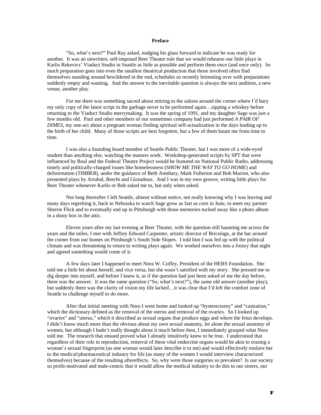## **Preface**

"So, what's next?" Paul Ray asked, nudging his glass forward to indicate he was ready for another. It was an unwritten, self-imposed Beer Theater rule that we would rehearse our little plays in Karlis Rekevics' Viaduct Studio in Seattle as little as possible and perform them once (and once only). So much preparation goes into even the smallest theatrical production that those involved often find themselves standing around bewildered in the end, schedules so recently brimming over with preparations suddenly empty and wanting. And the answer to the inevitable question is always the next audition, a new venue, another play.

For me there was something sacred about retiring to the saloon around the corner where I'd bury my only copy of the latest script in the garbage never to be performed again…sipping a whiskey before returning to the Viaduct Studio merrymaking. It was the spring of 1991, and my daughter Sage was just a few months old. Paul and other members of our sometimes company had just performed *A PAIR OF DIMES*, my one-act about a pregnant woman finding spiritual self-actualization in the days leading up to the birth of her child. Many of those scripts are best forgotten, but a few of them haunt me from time to time.

I was also a founding board member of Seattle Public Theater, but I was more of a wide-eyed student than anything else, watching the masters work. Workshop-generated scripts by SPT that were influenced by Boal and the Federal Theatre Project would be featured on National Public Radio, addressing timely and politically-charged issues like homelessness (*SHOW ME THE WAY TO GO HOME*) and deforestation (*TIMBER*), under the guidance of Beth Amsbary, Mark Fullerton and Bob Marion, who also presented plays by Arrabal, Brecht and Giraudoux. And I was in my own groove, writing little plays for Beer Theater whenever Karlis or Bob asked me to, but only when asked.

Not long thereafter I left Seattle, almost without notice, not really knowing why I was leaving and many days regretting it, back to Nebraska to watch Sage grow as fast as corn in June, to meet my partner Sherrie Flick and to eventually end up in Pittsburgh with those memories tucked away like a photo album in a dusty box in the attic.

Eleven years after my last evening at Beer Theater, with the question still haunting me across the years and the miles, I met with Jeffrey Edward Carpenter, artistic director of Bricolage, at the bar around the corner from our homes on Pittsburgh's South Side Slopes. I told him I was fed up with the political climate and was threatening to return to writing plays again. We worked ourselves into a frenzy that night and agreed something would come of it.

A few days later I happened to meet Nora W. Coffey, President of the HERS Foundation. She told me a little bit about herself, and vice versa, but she wasn't satisfied with my story. She pressed me to dig deeper into myself, and before I knew it, as if the question had just been asked of me the day before, there was the answer. It was the same question ("So, what's next?"), the same old answer (another play), but suddenly there was the clarity of vision my life lacked…it was clear that I'd left the comfort zone of Seattle to challenge myself to do more.

After that initial meeting with Nora I went home and looked up "hysterectomy" and "castration," which the dictionary defined as the removal of the uterus and removal of the ovaries. So I looked up "ovaries" and "uterus," which it described as sexual organs that produce eggs and where the fetus develops. I didn't know much more than the obvious about my own sexual anatomy, let alone the sexual anatomy of women, but although I hadn't really thought about it much before then, I immediately grasped what Nora told me. The research that ensued proved what I already intuitively knew to be true. I understood that regardless of their role in reproduction, removal of these vital endocrine organs would be akin to erasing a woman's sexual fingerprint (as one woman would later describe it to me) and would effectively enslave her to the medical/pharmaceutical industry for life (as many of the women I would interview characterized themselves) because of the resulting aftereffects. So, why were those surgeries so prevalent? Is our society so profit-motivated and male-centric that it would allow the medical industry to do this to our sisters, our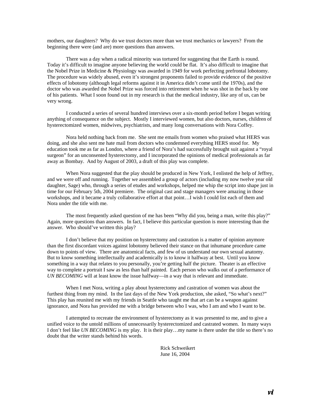mothers, our daughters? Why do we trust doctors more than we trust mechanics or lawyers? From the beginning there were (and are) more questions than answers.

There was a day when a radical minority was tortured for suggesting that the Earth is round. Today it's difficult to imagine anyone believing the world could be flat. It's also difficult to imagine that the Nobel Prize in Medicine & Physiology was awarded in 1949 for work perfecting prefrontal lobotomy. The procedure was widely abused, even it's strongest proponents failed to provide evidence of the positive effects of lobotomy (although legal reforms against it in America didn't come until the 1970s), and the doctor who was awarded the Nobel Prize was forced into retirement when he was shot in the back by one of his patients. What I soon found out in my research is that the medical industry, like any of us, can be very wrong.

I conducted a series of several hundred interviews over a six-month period before I began writing anything of consequence on the subject. Mostly I interviewed women, but also doctors, nurses, children of hysterectomized women, midwives, psychiatrists, and many long conversations with Nora Coffey.

Nora held nothing back from me. She sent me emails from women who praised what HERS was doing, and she also sent me hate mail from doctors who condemned everything HERS stood for. My education took me as far as London, where a friend of Nora's had successfully brought suit against a "royal surgeon" for an unconsented hysterectomy, and I incorporated the opinions of medical professionals as far away as Bombay. And by August of 2003, a draft of this play was complete.

When Nora suggested that the play should be produced in New York, I enlisted the help of Jeffrey, and we were off and running. Together we assembled a group of actors (including my now twelve year old daughter, Sage) who, through a series of etudes and workshops, helped me whip the script into shape just in time for our February 5th, 2004 premiere. The original cast and stage managers were amazing in those workshops, and it became a truly collaborative effort at that point…I wish I could list each of them and Nora under the title with me.

The most frequently asked question of me has been "Why did you, being a man, write this play?" Again, more questions than answers. In fact, I believe this particular question is more interesting than the answer. Who should've written this play?

I don't believe that my position on hysterectomy and castration is a matter of opinion anymore than the first discordant voices against lobotomy believed their stance on that inhumane procedure came down to points of view. There are anatomical facts, and few of us understand our own sexual anatomy. But to know something intellectually and academically is to know it halfway at best. Until you know something in a way that relates to you personally, you're getting half the picture. Theater is an effective way to complete a portrait I saw as less than half painted. Each person who walks out of a performance of *UN BECOMING* will at least know the issue halfway—in a way that is relevant and immediate.

When I met Nora, writing a play about hysterectomy and castration of women was about the furthest thing from my mind. In the last days of the New York production, she asked, "So what's next?" This play has reunited me with my friends in Seattle who taught me that art can be a weapon against ignorance, and Nora has provided me with a bridge between who I was, who I am and who I want to be.

I attempted to recreate the environment of hysterectomy as it was presented to me, and to give a unified voice to the untold millions of unnecessarily hysterectomized and castrated women. In many ways I don't feel like *UN BECOMING* is my play. It is their play…my name is there under the title so there's no doubt that the writer stands behind his words.

> Rick Schweikert June 16, 2004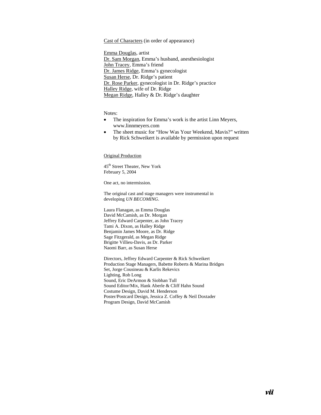## Cast of Characters (in order of appearance)

Emma Douglas, artist Dr. Sam Morgan, Emma's husband, anesthesiologist John Tracey, Emma's friend Dr. James Ridge, Emma's gynecologist Susan Herse, Dr. Ridge's patient Dr. Rose Parker, gynecologist in Dr. Ridge's practice Halley Ridge, wife of Dr. Ridge Megan Ridge, Halley & Dr. Ridge's daughter

Notes:

- The inspiration for Emma's work is the artist Linn Meyers, www.linnmeyers.com
- The sheet music for "How Was Your Weekend, Mavis?" written by Rick Schweikert is available by permission upon request

Original Production

45<sup>th</sup> Street Theater, New York February 5, 2004

One act, no intermission.

The original cast and stage managers were instrumental in developing *UN BECOMING*.

Laura Flanagan, as Emma Douglas David McCamish, as Dr. Morgan Jeffrey Edward Carpenter, as John Tracey Tami A. Dixon, as Halley Ridge Benjamin James Moore, as Dr. Ridge Sage Fitzgerald, as Megan Ridge Brigitte Villieu-Davis, as Dr. Parker Naomi Barr, as Susan Herse

 Directors, Jeffrey Edward Carpenter & Rick Schweikert Production Stage Managers, Babette Roberts & Marina Bridges Set, Jorge Cousineau & Karlis Rekevics Lighting, Rob Long Sound, Eric DeArmon & Siobhan Tull Sound Editor/Mix, Hank Aberle & Cliff Hahn Sound Costume Design, David M. Henderson Poster/Postcard Design, Jessica Z. Coffey & Neil Doxtader Program Design, David McCamish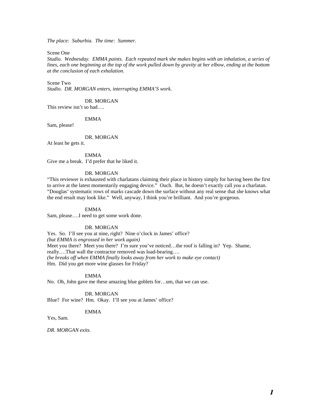*The place: Suburbia. The time: Summer.* 

Scene One

*Studio. Wednesday. EMMA paints. Each repeated mark she makes begins with an inhalation, a series of lines, each one beginning at the top of the work pulled down by gravity at her elbow, ending at the bottom at the conclusion of each exhalation.* 

Scene Two

*Studio. DR. MORGAN enters, interrupting EMMA'S work.* 

DR. MORGAN

This review isn't so bad….

EMMA

Sam, please!

DR. MORGAN

At least he gets it.

EMMA

Give me a break. I'd prefer that he liked it.

#### DR. MORGAN

"This reviewer is exhausted with charlatans claiming their place in history simply for having been the first to arrive at the latest momentarily engaging device." Ouch. But, he doesn't exactly call *you* a charlatan. "Douglas' systematic rows of marks cascade down the surface without any real sense that she knows what the end result may look like." Well, anyway, I think you're brilliant. And you're gorgeous.

## EMMA

Sam, please….I need to get some work done.

#### DR. MORGAN

Yes. So. I'll see you at nine, right? Nine o'clock in James' office? *(but EMMA is engrossed in her work again)* Meet you there? Meet you there? I'm sure you've noticed...the roof is falling in? Yep. Shame, really….That wall the contractor removed was load-bearing…. *(he breaks off when EMMA finally looks away from her work to make eye contact)*  Hm. Did you get more wine glasses for Friday?

EMMA

No. Oh, John gave me these amazing blue goblets for…um, that we can use.

DR. MORGAN

Blue? For wine? Hm. Okay. I'll see you at James' office?

EMMA

Yes, Sam.

*DR. MORGAN exits.*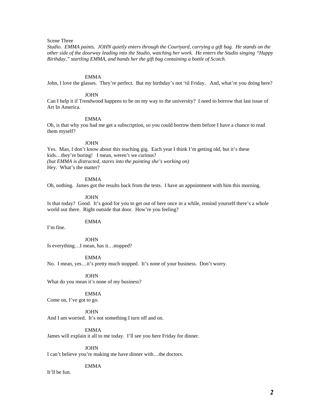## Scene Three

*Studio. EMMA paints. JOHN quietly enters through the Courtyard, carrying a gift bag. He stands on the other side of the doorway leading into the Studio, watching her work. He enters the Studio singing "Happy Birthday," startling EMMA, and hands her the gift bag containing a bottle of Scotch.* 

#### EMMA

John, I love the glasses. They're perfect. But my birthday's not 'til Friday. And, what're you doing here?

#### **JOHN**

Can I help it if Trendwood happens to be on my way to the university? I need to borrow that last issue of Art In America.

#### EMMA

Oh, is that why you had me get a subscription, so you could borrow them before I have a chance to read them myself?

#### JOHN

Yes. Man, I don't know about this teaching gig. Each year I think I'm getting old, but it's these kids…they're boring! I mean, weren't we curious? *(but EMMA is distracted, stares into the painting she's working on)*  Hey. What's the matter?

#### EMMA

Oh, nothing. James got the results back from the tests. I have an appointment with him this morning.

#### JOHN

Is that today? Good. It's good for you to get out of here once in a while, remind yourself there's a whole world out there. Right outside that door. How're you feeling?

## EMMA

I'm fine.

**JOHN** Is everything…I mean, has it…stopped?

EMMA

No. I mean, yes…it's pretty much stopped. It's none of your business. Don't worry.

 JOHN What do you mean it's none of my business?

EMMA

Come on, I've got to go.

 JOHN And I am worried. It's not something I turn off and on.

EMMA

James will explain it all to me today. I'll see you here Friday for dinner.

JOHN

I can't believe you're making me have dinner with…the doctors.

#### EMMA

It'll be fun.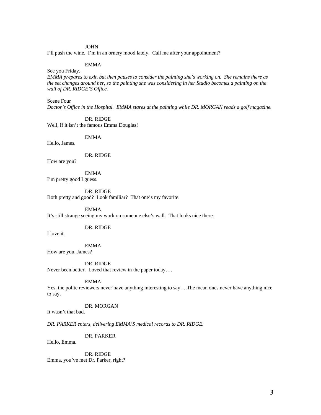## JOHN

I'll push the wine. I'm in an ornery mood lately. Call me after your appointment?

## EMMA

See you Friday.

*EMMA prepares to exit, but then pauses to consider the painting she's working on. She remains there as the set changes around her, so the painting she was considering in her Studio becomes a painting on the wall of DR. RIDGE'S Office.*

Scene Four

*Doctor's Office in the Hospital. EMMA stares at the painting while DR. MORGAN reads a golf magazine.* 

DR. RIDGE

Well, if it isn't the famous Emma Douglas!

EMMA

Hello, James.

DR. RIDGE

How are you?

 EMMA I'm pretty good I guess.

DR. RIDGE

Both pretty and good? Look familiar? That one's my favorite.

EMMA

It's still strange seeing my work on someone else's wall. That looks nice there.

DR. RIDGE

I love it.

EMMA

How are you, James?

DR. RIDGE

Never been better. Loved that review in the paper today….

EMMA

Yes, the polite reviewers never have anything interesting to say….The mean ones never have anything nice to say.

DR. MORGAN

It wasn't that bad.

*DR. PARKER enters, delivering EMMA'S medical records to DR. RIDGE.* 

DR. PARKER

Hello, Emma.

 DR. RIDGE Emma, you've met Dr. Parker, right?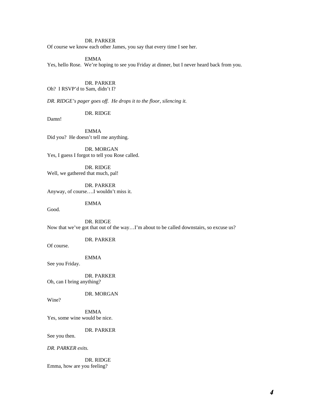## DR. PARKER

Of course we know each other James, you say that every time I see her.

## EMMA

Yes, hello Rose. We're hoping to see you Friday at dinner, but I never heard back from you.

#### DR. PARKER

Oh? I RSVP'd to Sam, didn't I?

*DR. RIDGE's pager goes off. He drops it to the floor, silencing it.*

DR. RIDGE

Damn!

 EMMA Did you? He doesn't tell me anything.

 DR. MORGAN Yes, I guess I forgot to tell you Rose called.

 DR. RIDGE Well, we gathered that much, pal!

 DR. PARKER Anyway, of course….I wouldn't miss it.

EMMA

Good.

 DR. RIDGE Now that we've got that out of the way…I'm about to be called downstairs, so excuse us?

DR. PARKER

Of course.

EMMA

See you Friday.

 DR. PARKER Oh, can I bring anything?

DR. MORGAN

Wine?

 EMMA Yes, some wine would be nice.

DR. PARKER

See you then.

*DR. PARKER exits.* 

 DR. RIDGE Emma, how are you feeling?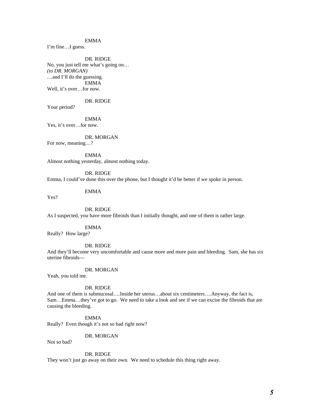## EMMA

I'm fine…I guess.

 DR. RIDGE No, you just tell me what's going on… *(to DR. MORGAN)*  …and I'll do the guessing. EMMA Well, it's over…for now.

## DR. RIDGE

Your period?

 EMMA Yes, it's over…for now.

 DR. MORGAN For now, meaning…?

 EMMA Almost nothing yesterday, almost nothing today.

 DR. RIDGE Emma, I could've done this over the phone, but I thought it'd be better if we spoke in person.

EMMA

Yes?

DR. RIDGE

As I suspected, you have more fibroids than I initially thought, and one of them is rather large.

EMMA

Really? How large?

DR. RIDGE

And they'll become very uncomfortable and cause more and more pain and bleeding. Sam, she has six uterine fibroids—

DR. MORGAN

Yeah, you told me.

DR. RIDGE

And one of them is submucosal….Inside her uterus…about six centimeters….Anyway, the fact is, Sam…Emma…they've got to go. We need to take a look and see if we can excise the fibroids that are causing the bleeding.

 EMMA Really? Even though it's not so bad right now?

## DR. MORGAN

Not so bad?

DR. RIDGE

They won't just go away on their own. We need to schedule this thing right away.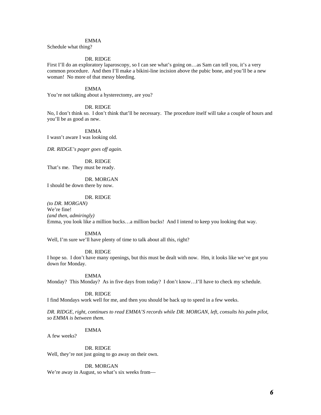#### EMMA

Schedule what thing?

#### DR. RIDGE

First I'll do an exploratory laparoscopy, so I can see what's going on…as Sam can tell you, it's a very common procedure. And then I'll make a bikini-line incision above the pubic bone, and you'll be a new woman! No more of that messy bleeding.

## EMMA

You're not talking about a hysterectomy, are you?

#### DR. RIDGE

No, I don't think so. I don't think that'll be necessary. The procedure itself will take a couple of hours and you'll be as good as new.

 EMMA I wasn't aware I was looking old.

*DR. RIDGE's pager goes off again.*

## DR. RIDGE

That's me. They must be ready.

## DR. MORGAN

I should be down there by now.

#### DR. RIDGE

*(to DR. MORGAN)*  We're fine! *(and then, admiringly)*  Emma, you look like a million bucks…a million bucks! And I intend to keep you looking that way.

#### EMMA

Well, I'm sure we'll have plenty of time to talk about all this, right?

#### DR. RIDGE

I hope so. I don't have many openings, but this must be dealt with now. Hm, it looks like we've got you down for Monday.

EMMA

Monday? This Monday? As in five days from today? I don't know…I'll have to check my schedule.

## DR. RIDGE

I find Mondays work well for me, and then you should be back up to speed in a few weeks.

*DR. RIDGE, right, continues to read EMMA'S records while DR. MORGAN, left, consults his palm pilot, so EMMA is between them.* 

## EMMA

A few weeks?

## DR. RIDGE

Well, they're not just going to go away on their own.

#### DR. MORGAN

We're away in August, so what's six weeks from—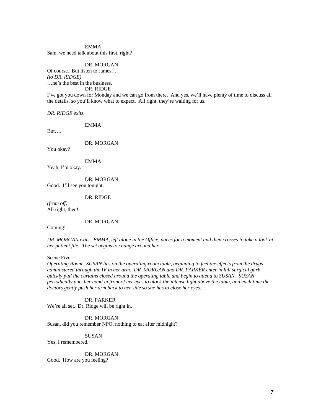EMMA Sam, we need talk about this first, right?

 DR. MORGAN Of course. But listen to James… *(to DR. RIDGE)*  …he's the best in the business. DR. RIDGE

I've got you down for Monday and we can go from there. And yes, we'll have plenty of time to discuss all the details, so you'll know what to expect. All right, they're waiting for us.

*DR. RIDGE exits.* 

EMMA

But….

DR. MORGAN

You okay?

EMMA

Yeah, I'm okay.

 DR. MORGAN Good. I'll see you tonight.

DR. RIDGE

*(from off)*  All right, then!

DR. MORGAN

Coming!

*DR. MORGAN exits. EMMA, left alone in the Office, paces for a moment and then crosses to take a look at her patient file. The set begins to change around her.* 

Scene Five

*Operating Room. SUSAN lies on the operating room table, beginning to feel the effects from the drugs administered through the IV in her arm. DR. MORGAN and DR. PARKER enter in full surgical garb, quickly pull the curtains closed around the operating table and begin to attend to SUSAN. SUSAN periodically puts her hand in front of her eyes to block the intense light above the table, and each time the doctors gently push her arm back to her side so she has to close her eyes.* 

 DR. PARKER We're all set. Dr. Ridge will be right in.

 DR. MORGAN Susan, did you remember NPO, nothing to eat after midnight?

 SUSAN Yes, I remembered.

DR. MORGAN

Good. How are you feeling?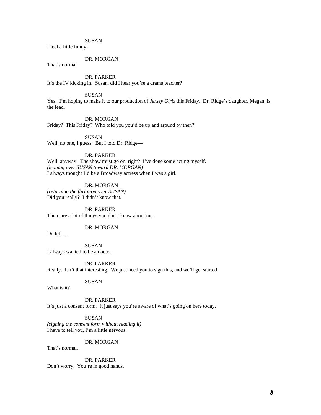## **SUSAN**

I feel a little funny.

## DR. MORGAN

That's normal.

 DR. PARKER It's the IV kicking in. Susan, did I hear you're a drama teacher?

#### SUSAN

Yes. I'm hoping to make it to our production of *Jersey Girls* this Friday. Dr. Ridge's daughter, Megan, is the lead.

#### DR. MORGAN

Friday? This Friday? Who told you you'd be up and around by then?

SUSAN

Well, no one, I guess. But I told Dr. Ridge—

## DR. PARKER

Well, anyway. The show must go on, right? I've done some acting myself. *(leaning over SUSAN toward DR. MORGAN)* I always thought I'd be a Broadway actress when I was a girl.

## DR. MORGAN

*(returning the flirtation over SUSAN)*  Did you really? I didn't know that.

 DR. PARKER There are a lot of things you don't know about me.

DR. MORGAN

Do tell….

 SUSAN I always wanted to be a doctor.

 DR. PARKER Really. Isn't that interesting. We just need you to sign this, and we'll get started.

## SUSAN

What is it?

## DR. PARKER

It's just a consent form. It just says you're aware of what's going on here today.

 SUSAN *(signing the consent form without reading it)*  I have to tell you, I'm a little nervous.

## DR. MORGAN

That's normal.

 DR. PARKER Don't worry. You're in good hands.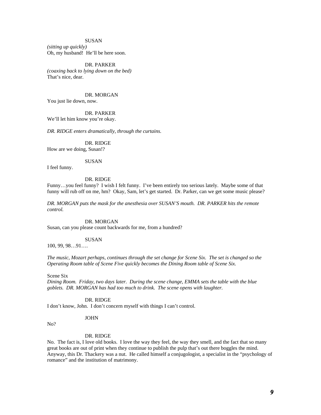## **SUSAN**

*(sitting up quickly)*  Oh, my husband! He'll be here soon.

 DR. PARKER *(coaxing back to lying down on the bed)*  That's nice, dear.

 DR. MORGAN You just lie down, now.

 DR. PARKER We'll let him know you're okay.

*DR. RIDGE enters dramatically, through the curtains.* 

DR. RIDGE

How are we doing, Susan!?

## SUSAN

I feel funny.

#### DR. RIDGE

Funny…you feel funny? I wish I felt funny. I've been entirely too serious lately. Maybe some of that funny will rub off on me, hm? Okay, Sam, let's get started. Dr. Parker, can we get some music please?

*DR. MORGAN puts the mask for the anesthesia over SUSAN'S mouth. DR. PARKER hits the remote control.* 

DR. MORGAN

Susan, can you please count backwards for me, from a hundred?

## SUSAN

100, 99, 98…91….

*The music, Mozart perhaps, continues through the set change for Scene Six. The set is changed so the Operating Room table of Scene Five quickly becomes the Dining Room table of Scene Six.* 

Scene Six

*Dining Room. Friday, two days later. During the scene change, EMMA sets the table with the blue goblets. DR. MORGAN has had too much to drink. The scene opens with laughter.* 

DR. RIDGE

I don't know, John. I don't concern myself with things I can't control.

#### JOHN

No?

#### DR. RIDGE

No. The fact is, I love old books. I love the way they feel, the way they smell, and the fact that so many great books are out of print when they continue to publish the pulp that's out there boggles the mind. Anyway, this Dr. Thackery was a nut. He called himself a conjugologist, a specialist in the "psychology of romance" and the institution of matrimony.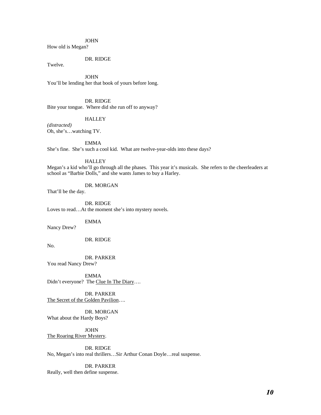## JOHN

How old is Megan?

## DR. RIDGE

Twelve.

 JOHN You'll be lending her that book of yours before long.

 DR. RIDGE Bite your tongue. Where did she run off to anyway?

#### **HALLEY**

*(distracted)*  Oh, she's…watching TV.

EMMA

She's fine. She's such a cool kid. What are twelve-year-olds into these days?

## HALLEY

Megan's a kid who'll go through all the phases. This year it's musicals. She refers to the cheerleaders at school as "Barbie Dolls," and she wants James to buy a Harley.

DR. MORGAN

That'll be the day.

 DR. RIDGE Loves to read…At the moment she's into mystery novels.

EMMA

Nancy Drew?

DR. RIDGE

No.

 DR. PARKER You read Nancy Drew?

 EMMA Didn't everyone? The Clue In The Diary....

 DR. PARKER The Secret of the Golden Pavilion….

 DR. MORGAN What about the Hardy Boys?

 JOHN The Roaring River Mystery*.* 

#### DR. RIDGE

No, Megan's into real thrillers…Sir Arthur Conan Doyle…real suspense.

## DR. PARKER

Really, well then define suspense.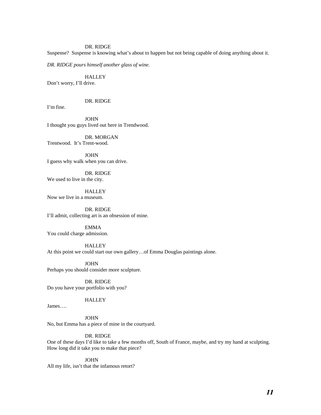Suspense? Suspense is knowing what's about to happen but not being capable of doing anything about it.

*DR. RIDGE pours himself another glass of wine.* 

**HALLEY** Don't worry, I'll drive.

## DR. RIDGE

I'm fine.

 JOHN I thought you guys lived out here in Trendwood.

DR. MORGAN Trentwood. It's Trent-wood.

 JOHN I guess why walk when you can drive.

DR. RIDGE We used to live in the city.

**HALLEY** Now we live in a museum.

 DR. RIDGE I'll admit, collecting art is an obsession of mine.

 EMMA You could charge admission.

**HALLEY** At this point we could start our own gallery…of Emma Douglas paintings alone.

 JOHN Perhaps you should consider more sculpture.

 DR. RIDGE Do you have your portfolio with you?

## HALLEY

James….

 JOHN No, but Emma has a piece of mine in the courtyard.

## DR. RIDGE

One of these days I'd like to take a few months off, South of France, maybe, and try my hand at sculpting. How long did it take you to make that piece?

 JOHN All my life, isn't that the infamous retort?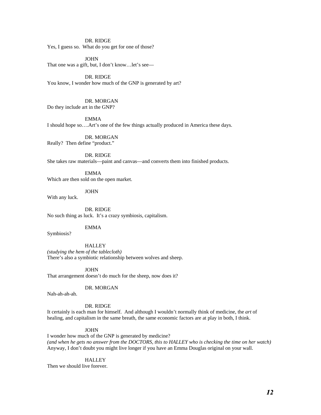Yes, I guess so. What do you get for one of those?

**JOHN** That one was a gift, but, I don't know…let's see—

 DR. RIDGE You know, I wonder how much of the GNP is generated by art?

## DR. MORGAN

Do they include art in the GNP?

#### EMMA

I should hope so….Art's one of the few things actually produced in America these days.

 DR. MORGAN Really? Then define "product."

 DR. RIDGE She takes raw materials—paint and canvas—and converts them into finished products.

 EMMA Which are then sold on the open market.

JOHN

With any luck.

 DR. RIDGE No such thing as luck. It's a crazy symbiosis, capitalism.

EMMA

Symbiosis?

**HALLEY** 

*(studying the hem of the tablecloth)*  There's also a symbiotic relationship between wolves and sheep.

 JOHN That arrangement doesn't do much for the sheep, now does it?

#### DR. MORGAN

Nah-ah-ah-ah.

DR. RIDGE

It certainly is each man for himself. And although I wouldn't normally think of medicine, the *art* of healing, and capitalism in the same breath, the same economic factors are at play in both, I think.

#### JOHN

I wonder how much of the GNP is generated by medicine? *(and when he gets no answer from the DOCTORS, this to HALLEY who is checking the time on her watch)*  Anyway, I don't doubt you might live longer if you have an Emma Douglas original on your wall.

## **HALLEY**

Then we should live forever.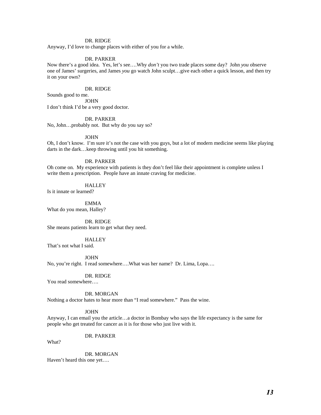Anyway, I'd love to change places with either of you for a while.

#### DR. PARKER

Now there's a good idea. Yes, let's see….Why *don't* you two trade places some day? John *you* observe one of James' surgeries, and James *you* go watch John sculpt…give each other a quick lesson, and then try it on your own?

#### DR. RIDGE

Sounds good to me.

**JOHN** I don't think I'd be a very good doctor.

#### DR. PARKER

No, John…probably not. But why do you say so?

#### JOHN

Oh, I don't know. I'm sure it's not the case with you guys, but a lot of modern medicine seems like playing darts in the dark…keep throwing until you hit something.

#### DR. PARKER

Oh come on. My experience with patients is they don't feel like their appointment is complete unless I write them a prescription. People have an innate craving for medicine.

## **HALLEY**

Is it innate or learned?

 EMMA What do you mean, Halley?

#### DR. RIDGE

She means patients learn to get what they need.

## **HALLEY**

That's not what I said.

#### JOHN

No, you're right. I read somewhere….What was her name? Dr. Lima, Lopa….

DR. RIDGE

You read somewhere….

#### DR. MORGAN

Nothing a doctor hates to hear more than "I read somewhere." Pass the wine.

## **JOHN**

Anyway, I can email you the article…a doctor in Bombay who says the life expectancy is the same for people who get treated for cancer as it is for those who just live with it.

#### DR. PARKER

What?

 DR. MORGAN Haven't heard this one yet….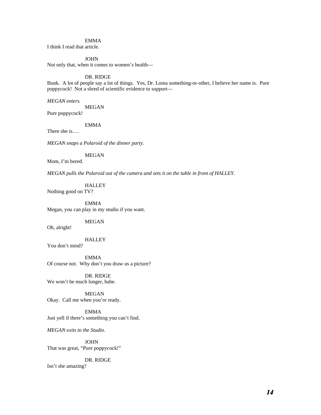## EMMA

I think I read that article.

## JOHN

Not only that, when it comes to women's health—

#### DR. RIDGE

Bunk. A lot of people say a lot of things. Yes, Dr. Loma something-or-other, I believe her name is. Pure poppycock! Not a shred of scientific evidence to support—

*MEGAN enters.* 

MEGAN

Pure poppycock!

## EMMA

There she is….

*MEGAN snaps a Polaroid of the dinner party.* 

MEGAN

Mom, I'm bored.

*MEGAN pulls the Polaroid out of the camera and sets it on the table in front of HALLEY.* 

**HALLEY** 

Nothing good on TV?

 EMMA Megan, you can play in my studio if you want.

## MEGAN

Oh, alright!

## **HALLEY**

You don't mind?

 EMMA Of course not. Why don't you draw us a picture?

 DR. RIDGE We won't be much longer, babe.

 MEGAN Okay. Call me when you're ready.

 EMMA Just yell if there's something you can't find.

*MEGAN exits to the Studio.* 

 JOHN That was great, "Pure poppycock!"

DR. RIDGE

Isn't she amazing?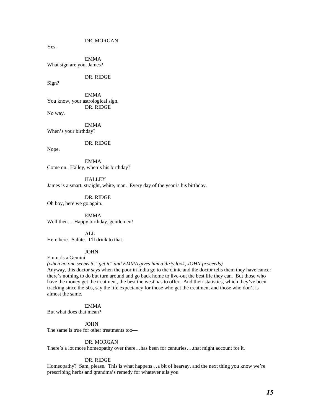DR. MORGAN

Yes.

 EMMA What sign are you, James?

DR. RIDGE

Sign?

 EMMA You know, your astrological sign. DR. RIDGE No way.

 EMMA When's your birthday?

DR. RIDGE

Nope.

 EMMA Come on. Halley, when's his birthday?

**HALLEY** James is a smart, straight, white, man. Every day of the year is his birthday.

 DR. RIDGE Oh boy, here we go again.

EMMA Well then....Happy birthday, gentlemen!

 ALL Here here. Salute. I'll drink to that.

## **JOHN**

Emma's a Gemini.

*(when no one seems to "get it" and EMMA gives him a dirty look, JOHN proceeds)*  Anyway, this doctor says when the poor in India go to the clinic and the doctor tells them they have cancer there's nothing to do but turn around and go back home to live-out the best life they can. But those who have the money get the treatment, the best the west has to offer. And their statistics, which they've been tracking since the 50s, say the life expectancy for those who get the treatment and those who don't is almost the same.

## EMMA

But what does that mean?

JOHN

The same is true for other treatments too—

#### DR. MORGAN

There's a lot more homeopathy over there…has been for centuries….that might account for it.

## DR. RIDGE

Homeopathy? Sam, please. This is what happens…a bit of hearsay, and the next thing you know we're prescribing herbs and grandma's remedy for whatever ails you.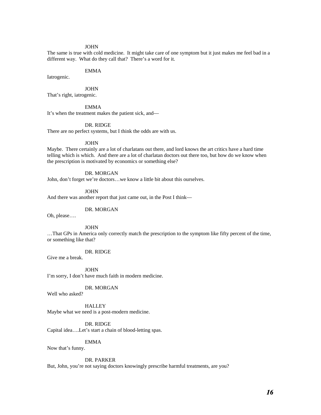#### JOHN

The same is true with cold medicine. It might take care of one symptom but it just makes me feel bad in a different way. What do they call that? There's a word for it.

## EMMA

Iatrogenic.

JOHN

That's right, iatrogenic.

EMMA

It's when the treatment makes the patient sick, and—

## DR. RIDGE

There are no perfect systems, but I think the odds are with us.

#### JOHN

Maybe. There certainly are a lot of charlatans out there, and lord knows the art critics have a hard time telling which is which. And there are a lot of charlatan doctors out there too, but how do we know when the prescription is motivated by economics or something else?

## DR. MORGAN

John, don't forget we're doctors…we know a little bit about this ourselves.

JOHN

And there was another report that just came out, in the Post I think—

#### DR. MORGAN

Oh, please….

JOHN

…That GPs in America only correctly match the prescription to the symptom like fifty percent of the time, or something like that?

DR. RIDGE

Give me a break.

 JOHN I'm sorry, I don't have much faith in modern medicine.

## DR. MORGAN

Well who asked?

**HALLEY** Maybe what we need is a post-modern medicine.

 DR. RIDGE Capital idea….Let's start a chain of blood-letting spas.

EMMA

Now that's funny.

DR. PARKER

But, John, you're not saying doctors knowingly prescribe harmful treatments, are you?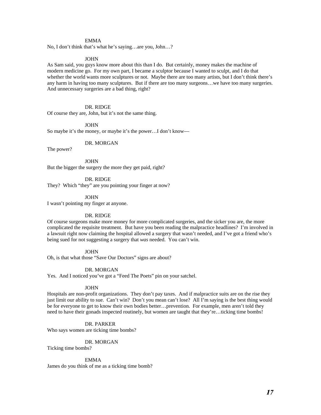## EMMA

No, I don't think that's what he's saying…are you, John…?

#### JOHN

As Sam said, you guys know more about this than I do. But certainly, money makes the machine of modern medicine go. For my own part, I became a sculptor because I wanted to sculpt, and I do that whether the world wants more sculptures or not. Maybe there are too many artists, but I don't think there's any harm in having too many sculptures. But if there are too many surgeons…we have too many surgeries. And unnecessary surgeries are a bad thing, right?

#### DR. RIDGE

Of course they are, John, but it's not the same thing.

JOHN

So maybe it's the money, or maybe it's the power…I don't know—

#### DR. MORGAN

The power?

 JOHN But the bigger the surgery the more they get paid, right?

DR. RIDGE

They? Which "they" are you pointing your finger at now?

JOHN

I wasn't pointing my finger at anyone.

#### DR. RIDGE

Of course surgeons make more money for more complicated surgeries, and the sicker you are, the more complicated the requisite treatment. But have you been reading the malpractice headlines? I'm involved in a lawsuit right now claiming the hospital allowed a surgery that wasn't needed, and I've got a friend who's being sued for not suggesting a surgery that *was* needed. You can't win.

 JOHN Oh, is that what those "Save Our Doctors" signs are about?

DR. MORGAN

Yes. And I noticed you've got a "Feed The Poets" pin on your satchel.

#### JOHN

Hospitals are non-profit organizations. They don't pay taxes. And if malpractice suits are on the rise they just limit our ability to sue. Can't win? Don't you mean can't lose? All I'm saying is the best thing would be for everyone to get to know their own bodies better…prevention. For example, men aren't told they need to have their gonads inspected routinely, but women are taught that they're…ticking time bombs!

### DR. PARKER

Who says women are ticking time bombs?

## DR. MORGAN

Ticking time bombs?

#### EMMA

James do you think of me as a ticking time bomb?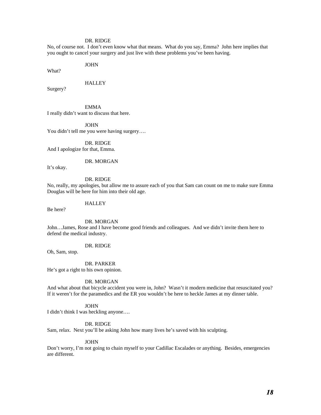No, of course not. I don't even know what that means. What do you say, Emma? John here implies that you ought to cancel your surgery and just live with these problems you've been having.

JOHN

What?

#### **HALLEY**

Surgery?

 EMMA I really didn't want to discuss that here.

 JOHN You didn't tell me you were having surgery….

 DR. RIDGE And I apologize for that, Emma.

#### DR. MORGAN

It's okay.

#### DR. RIDGE

No, really, my apologies, but allow me to assure each of you that Sam can count on me to make sure Emma Douglas will be here for him into their old age.

#### **HALLEY**

Be here?

DR. MORGAN

John…James, Rose and I have become good friends and colleagues. And we didn't invite them here to defend the medical industry.

DR. RIDGE

Oh, Sam, stop.

 DR. PARKER He's got a right to his own opinion.

## DR. MORGAN

And what about that bicycle accident you were in, John? Wasn't it modern medicine that resuscitated you? If it weren't for the paramedics and the ER you wouldn't be here to heckle James at my dinner table.

**JOHN** 

I didn't think I was heckling anyone….

## DR. RIDGE

Sam, relax. Next you'll be asking John how many lives he's saved with his sculpting.

#### JOHN

Don't worry, I'm not going to chain myself to your Cadillac Escalades or anything. Besides, emergencies are different.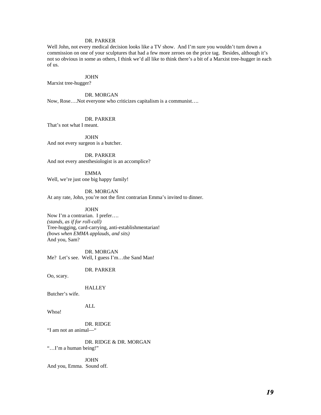## DR. PARKER

Well John, not every medical decision looks like a TV show. And I'm sure you wouldn't turn down a commission on one of your sculptures that had a few more zeroes on the price tag. Besides, although it's not so obvious in some as others, I think we'd all like to think there's a bit of a Marxist tree-hugger in each of us.

#### JOHN

Marxist tree-hugger?

## DR. MORGAN

Now, Rose….Not everyone who criticizes capitalism is a communist….

#### DR. PARKER

That's not what I meant.

#### JOHN

And not every surgeon is a butcher.

 DR. PARKER And not every anesthesiologist is an accomplice?

 EMMA Well, we're just one big happy family!

 DR. MORGAN At any rate, John, you're not the first contrarian Emma's invited to dinner.

JOHN

Now I'm a contrarian. I prefer…. *(stands, as if for roll-call)*  Tree-hugging, card-carrying, anti-establishmentarian! *(bows when EMMA applauds, and sits)*  And you, Sam?

 DR. MORGAN Me? Let's see. Well, I guess I'm…the Sand Man!

DR. PARKER

Oo, scary.

**HALLEY** 

Butcher's wife.

ALL

Whoa!

 DR. RIDGE "I am not an animal—"

 DR. RIDGE & DR. MORGAN "…I'm a human being!"

 JOHN And you, Emma. Sound off.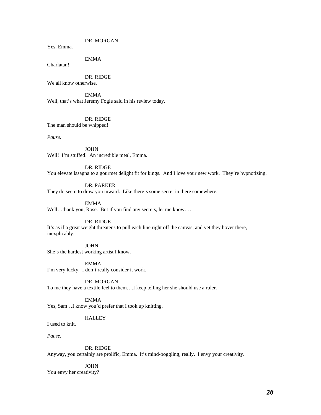## DR. MORGAN

Yes, Emma.

## EMMA

Charlatan!

 DR. RIDGE We all know otherwise.

 EMMA Well, that's what Jeremy Fogle said in his review today.

DR. RIDGE

The man should be whipped!

*Pause.* 

 JOHN Well! I'm stuffed! An incredible meal, Emma.

#### DR. RIDGE

You elevate lasagna to a gourmet delight fit for kings. And I love your new work. They're hypnotizing.

DR. PARKER

They do seem to draw you inward. Like there's some secret in there somewhere.

EMMA

Well…thank you, Rose. But if you find any secrets, let me know….

DR. RIDGE

It's as if a great weight threatens to pull each line right off the canvas, and yet they hover there, inexplicably.

 JOHN She's the hardest working artist I know.

 EMMA I'm very lucky. I don't really consider it work.

 DR. MORGAN To me they have a textile feel to them….I keep telling her she should use a ruler.

 EMMA Yes, Sam…I know you'd prefer that I took up knitting.

## **HALLEY**

I used to knit.

*Pause.* 

DR. RIDGE

Anyway, you certainly are prolific, Emma. It's mind-boggling, really. I envy your creativity.

 JOHN You envy her creativity?

*20*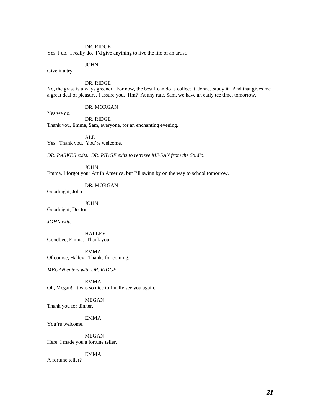Yes, I do. I really do. I'd give anything to live the life of an artist.

**JOHN** 

Give it a try.

## DR. RIDGE

No, the grass is always greener. For now, the best I can do is collect it, John…study it. And that gives me a great deal of pleasure, I assure you. Hm? At any rate, Sam, we have an early tee time, tomorrow.

DR. MORGAN

Yes we do.

 DR. RIDGE Thank you, Emma, Sam, everyone, for an enchanting evening.

ALL

Yes. Thank you. You're welcome.

*DR. PARKER exits. DR. RIDGE exits to retrieve MEGAN from the Studio.* 

JOHN

Emma, I forgot your Art In America, but I'll swing by on the way to school tomorrow.

DR. MORGAN

Goodnight, John.

 JOHN Goodnight, Doctor.

*JOHN exits.* 

**HALLEY** Goodbye, Emma. Thank you.

 EMMA Of course, Halley. Thanks for coming.

*MEGAN enters with DR. RIDGE.* 

 EMMA Oh, Megan! It was so nice to finally see you again.

 MEGAN Thank you for dinner.

 EMMA You're welcome.

 MEGAN Here, I made you a fortune teller.

 EMMA A fortune teller?

*21*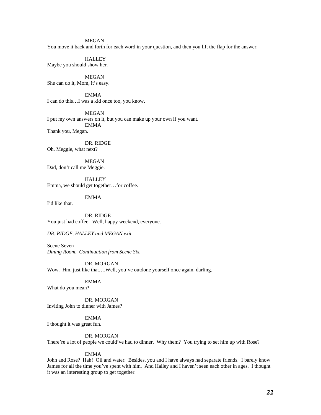You move it back and forth for each word in your question, and then you lift the flap for the answer.

## **HALLEY**

Maybe you should show her.

 MEGAN She can do it, Mom, it's easy.

 EMMA I can do this…I was a kid once too, you know.

 MEGAN I put my own answers on it, but you can make up your own if you want. EMMA Thank you, Megan.

 DR. RIDGE Oh, Meggie, what next?

 MEGAN Dad, don't call me Meggie.

I'd like that.

**HALLEY** Emma, we should get together…for coffee.

EMMA

 DR. RIDGE You just had coffee. Well, happy weekend, everyone.

*DR. RIDGE, HALLEY and MEGAN exit.*

Scene Seven *Dining Room. Continuation from Scene Six.* 

 DR. MORGAN Wow. Hm, just like that….Well, you've outdone yourself once again, darling.

## EMMA

What do you mean?

 DR. MORGAN Inviting John to dinner with James?

 EMMA I thought it was great fun.

#### DR. MORGAN

There're a lot of people we could've had to dinner. Why them? You trying to set him up with Rose?

## EMMA

John and Rose? Hah! Oil and water. Besides, you and I have always had separate friends. I barely know James for all the time you've spent with him. And Halley and I haven't seen each other in ages. I thought it was an interesting group to get together.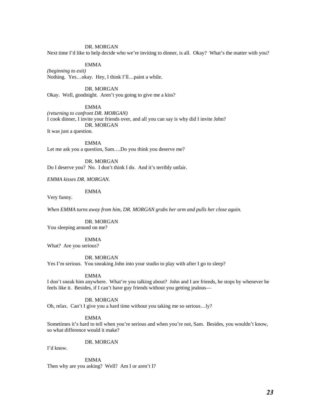## DR. MORGAN

Next time I'd like to help decide who we're inviting to dinner, is all. Okay? What's the matter with you?

## EMMA

*(beginning to exit)*  Nothing. Yes…okay. Hey, I think I'll…paint a while.

 DR. MORGAN Okay. Well, goodnight. Aren't you going to give me a kiss?

EMMA

*(returning to confront DR. MORGAN)*  I cook dinner, I invite your friends over, and all you can say is why did I invite John? DR. MORGAN It was just a question.

EMMA

Let me ask you a question, Sam….Do you think you deserve me?

 DR. MORGAN Do I deserve you? No. I don't think I do. And it's terribly unfair.

*EMMA kisses DR. MORGAN.* 

EMMA

Very funny.

*When EMMA turns away from him, DR. MORGAN grabs her arm and pulls her close again.* 

DR. MORGAN

You sleeping around on me?

EMMA

What? Are you serious?

DR. MORGAN

Yes I'm serious. You sneaking John into your studio to play with after I go to sleep?

EMMA

I don't sneak him anywhere. What're you talking about? John and I are friends, he stops by whenever he feels like it. Besides, if I can't have guy friends without you getting jealous—

DR. MORGAN

Oh, relax. Can't I give you a hard time without you taking me so serious…ly?

EMMA

Sometimes it's hard to tell when you're serious and when you're not, Sam. Besides, you wouldn't know, so what difference would it make?

DR. MORGAN

I'd know.

 EMMA Then why are you asking? Well? Am I or aren't I?

*23*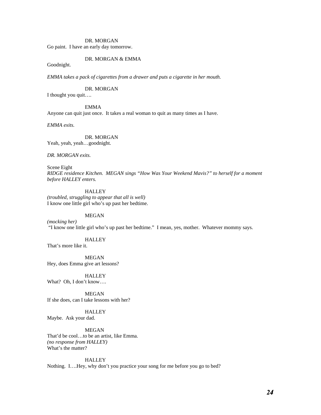## **DR. MORGAN**

Go paint. I have an early day tomorrow.

#### DR. MORGAN & EMMA

Goodnight.

*EMMA takes a pack of cigarettes from a drawer and puts a cigarette in her mouth.* 

DR. MORGAN

I thought you quit….

EMMA

Anyone can quit just once. It takes a real woman to quit as many times as I have.

*EMMA exits.* 

 DR. MORGAN Yeah, yeah, yeah…goodnight.

*DR. MORGAN exits.* 

Scene Eight *RIDGE residence Kitchen. MEGAN sings "How Was Your Weekend Mavis?" to herself for a moment before HALLEY enters.* 

**HALLEY** *(troubled, struggling to appear that all is well)*  I know one little girl who's up past her bedtime.

MEGAN

*(mocking her)*  "I know one little girl who's up past her bedtime." I mean, yes, mother. Whatever mommy says.

## **HALLEY**

That's more like it.

 MEGAN Hey, does Emma give art lessons?

**HALLEY** What? Oh, I don't know….

 MEGAN If she does, can I take lessons with her?

**HALLEY** Maybe. Ask your dad.

## MEGAN

That'd be cool…to be an artist, like Emma. *(no response from HALLEY)*  What's the matter?

## **HALLEY**

Nothing. I….Hey, why don't you practice your song for me before you go to bed?

*24*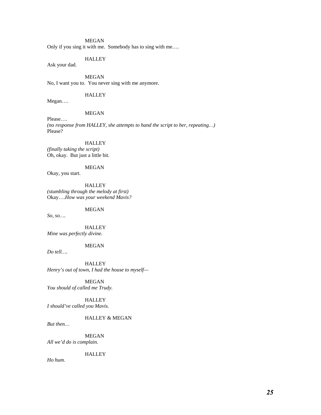Only if you sing it with me. Somebody has to sing with me….

## **HALLEY**

Ask your dad.

 MEGAN No, I want you to. You never sing with me anymore.

## HALLEY

Megan….

## MEGAN

Please…. *(no response from HALLEY, she attempts to hand the script to her, repeating…)*  Please?

**HALLEY** *(finally taking the script)*  Oh, okay. But just a little bit.

## MEGAN

Okay, you start.

**HALLEY** *(stumbling through the melody at first)*  Okay….*How was your weekend Mavis?* 

MEGAN

*So, so….* 

 HALLEY *Mine was perfectly divine.* 

## MEGAN

*Do tell….* 

 HALLEY *Henry's out of town, I had the house to myself—*

 MEGAN *You should of called me Trudy.* 

 HALLEY *I should've called you Mavis.* 

## HALLEY & MEGAN

*But then…* 

 MEGAN *All we'd do is complain.* 

**HALLEY** 

*Ho hum.*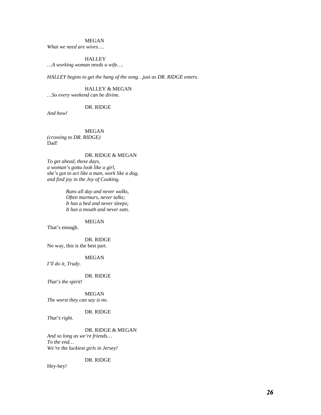*What we need are wives….* 

## **HALLEY**

*…A working woman needs a wife….* 

*HALLEY begins to get the hang of the song…just as DR. RIDGE enters.* 

 HALLEY & MEGAN *…So every weekend can be divine.* 

## DR. RIDGE

*And how!* 

MEGAN

*(crossing to DR. RIDGE)*  Dad!

## DR. RIDGE & MEGAN

*To get ahead, these days, a woman's gotta look like a girl, she's got to act like a man, work like a dog, and find joy in the Joy of Cooking.* 

> *Runs all day and never walks, Often murmurs, never talks; It has a bed and never sleeps; It has a mouth and never eats.*

#### MEGAN

That's enough.

 DR. RIDGE No way, this is the best part.

## MEGAN

*I'll do it, Trudy.* 

DR. RIDGE

*That's the spirit!* 

MEGAN

## *The worst they can say is no.*

## DR. RIDGE

*That's right.* 

#### DR. RIDGE & MEGAN

*And so long as we're friends… To the end… We're the luckiest girls in Jersey!* 

## DR. RIDGE

Hey-hey!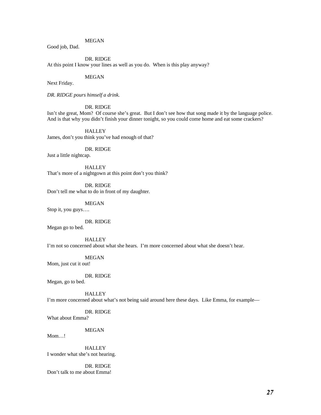Good job, Dad.

## DR. RIDGE

At this point I know your lines as well as you do. When is this play anyway?

## MEGAN

Next Friday.

*DR. RIDGE pours himself a drink.* 

## DR. RIDGE

Isn't she great, Mom? Of course she's great. But I don't see how that song made it by the language police. And is that why you didn't finish your dinner tonight, so you could come home and eat some crackers?

**HALLEY** James, don't you think you've had enough of that?

DR. RIDGE

Just a little nightcap.

**HALLEY** That's more of a nightgown at this point don't you think?

 DR. RIDGE Don't tell me what to do in front of my daughter.

MEGAN

Stop it, you guys….

DR. RIDGE

Megan go to bed.

**HALLEY** 

I'm not so concerned about what she hears. I'm more concerned about what she doesn't hear.

MEGAN

Mom, just cut it out!

DR. RIDGE

Megan, go to bed.

**HALLEY** 

I'm more concerned about what's not being said around here these days. Like Emma, for example—

DR. RIDGE

What about Emma?

MEGAN

Mom…!

 HALLEY I wonder what she's not hearing.

 DR. RIDGE Don't talk to me about Emma!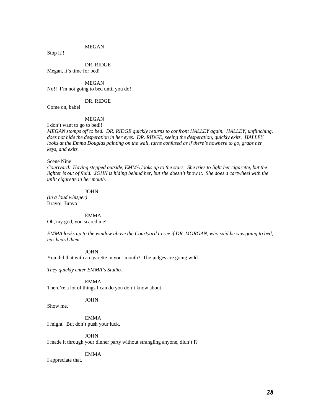Stop it!!

 DR. RIDGE Megan, it's time for bed!

 MEGAN No!! I'm not going to bed until you do!

## DR. RIDGE

Come on, babe!

## MEGAN

I don't want to go to bed!!

*MEGAN stomps off to bed. DR. RIDGE quickly returns to confront HALLEY again. HALLEY, unflinching, does not hide the desperation in her eyes. DR. RIDGE, seeing the desperation, quickly exits. HALLEY looks at the Emma Douglas painting on the wall, turns confused as if there's nowhere to go, grabs her keys, and exits.* 

#### Scene Nine

*Courtyard. Having stepped outside, EMMA looks up to the stars. She tries to light her cigarette, but the lighter is out of fluid. JOHN is hiding behind her, but she doesn't know it. She does a cartwheel with the unlit cigarette in her mouth.* 

JOHN

*(in a loud whisper)*  Bravo! Bravo!

EMMA

Oh, my god, you scared me!

*EMMA looks up to the window above the Courtyard to see if DR. MORGAN, who said he was going to bed, has heard them.* 

JOHN

You did that with a cigarette in your mouth? The judges are going wild.

*They quickly enter EMMA's Studio.* 

EMMA

There're a lot of things I can do you don't know about.

JOHN

Show me.

 EMMA I might. But don't push your luck.

JOHN

I made it through your dinner party without strangling anyone, didn't I?

EMMA

I appreciate that.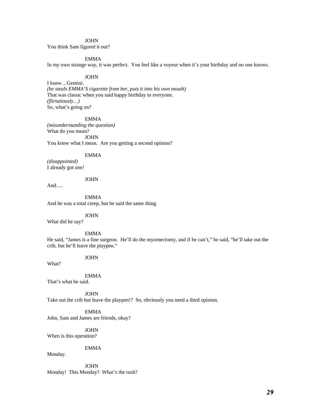## **JOHN**

You think Sam figured it out?

## EMMA

In my own strange way, it was perfect. You feel like a voyeur when it's your birthday and no one knows.

#### JOHN

I knew…Gemini. *(he steals EMMA'S cigarette from her, puts it into his own mouth)*  That was classic when you said happy birthday to everyone. *(flirtatiously…)* So, what's going on?

#### EMMA

*(misunderstanding the question)*  What do you mean? JOHN You know what I mean. Are you getting a second opinion?

## EMMA

*(disappointed)*  I already got one!

## JOHN

And….

 EMMA And he was a total creep, but he said the same thing.

JOHN

What did he say?

EMMA

He said, "James is a fine surgeon. He'll do the myomectomy, and if he can't," he said, "he'll take out the crib, but he'll leave the playpen."

#### JOHN

What?

EMMA

That's what he said.

**JOHN** Take out the crib but leave the playpen!? So, obviously you need a third opinion.

 EMMA John, Sam and James are friends, okay?

 JOHN When is this operation?

EMMA

Monday.

 JOHN Monday! This Monday? What's the rush?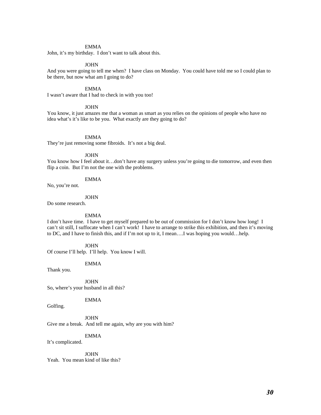## EMMA

John, it's my birthday. I don't want to talk about this.

#### JOHN

And you were going to tell me when? I have class on Monday. You could have told me so I could plan to be there, but now what am I going to do?

## EMMA

I wasn't aware that I had to check in with you too!

## **JOHN**

You know, it just amazes me that a woman as smart as you relies on the opinions of people who have no idea what's it's like to be you. What exactly are they going to do?

#### EMMA

They're just removing some fibroids. It's not a big deal.

## JOHN

You know how I feel about it…don't have any surgery unless you're going to die tomorrow, and even then flip a coin. But I'm not the one with the problems.

## EMMA

No, you're not.

## **JOHN**

Do some research.

#### EMMA

I don't have time. I have to get myself prepared to be out of commission for I don't know how long! I can't sit still, I suffocate when I can't work! I have to arrange to strike this exhibition, and then it's moving to DC, and I have to finish this, and if I'm not up to it, I mean….I was hoping you would…help.

 JOHN Of course I'll help. I'll help. You know I will.

EMMA

Thank you.

**JOHN** So, where's your husband in all this?

## EMMA

Golfing.

 JOHN Give me a break. And tell me again, why are you with him?

EMMA It's complicated.

JOHN

Yeah. You mean kind of like this?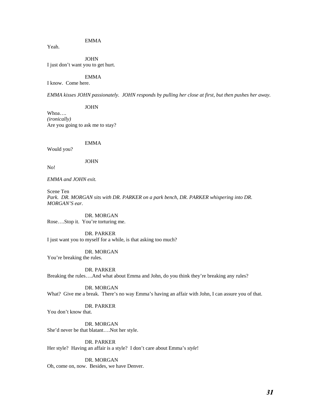## EMMA

Yeah.

**JOHN** I just don't want you to get hurt.

#### EMMA

I know. Come here.

*EMMA kisses JOHN passionately. JOHN responds by pulling her close at first, but then pushes her away.* 

**JOHN** 

Whoa…. *(ironically)*  Are you going to ask me to stay?

## EMMA

Would you?

**JOHN** 

No!

*EMMA and JOHN exit.* 

Scene Ten Park. DR. MORGAN sits with DR. PARKER on a park bench, DR. PARKER whispering into DR. *MORGAN'S ear.* 

**DR. MORGAN** Rose….Stop it. You're torturing me.

 DR. PARKER I just want you to myself for a while, is that asking too much?

 DR. MORGAN You're breaking the rules.

 DR. PARKER Breaking the rules….And what about Emma and John, do you think they're breaking any rules?

 DR. MORGAN What? Give me a break. There's no way Emma's having an affair with John, I can assure you of that.

DR. PARKER

You don't know that.

 DR. MORGAN She'd never be that blatant….Not her style.

 DR. PARKER Her style? Having an affair is a style? I don't care about Emma's *style*!

 DR. MORGAN Oh, come on, now. Besides, we have Denver.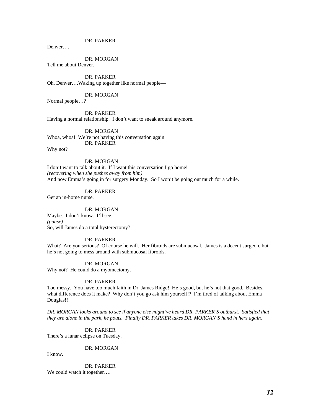DR. PARKER

Denver….

DR. MORGAN

Tell me about Denver.

 DR. PARKER Oh, Denver….Waking up together like normal people—

DR. MORGAN

Normal people…?

 DR. PARKER Having a normal relationship. I don't want to sneak around anymore.

 DR. MORGAN Whoa, whoa! We're not having this conversation again. DR. PARKER

Why not?

## DR. MORGAN

I don't want to talk about it. If I want this conversation I go home! *(recovering when she pushes away from him)*  And now Emma's going in for surgery Monday. So I won't be going out much for a while.

DR. PARKER

Get an in-home nurse.

DR. MORGAN

Maybe. I don't know. I'll see. *(pause)*  So, will James do a total hysterectomy?

#### DR. PARKER

What? Are you serious? Of course he will. Her fibroids are submucosal. James is a decent surgeon, but he's not going to mess around with submucosal fibroids.

 DR. MORGAN Why not? He could do a myomectomy.

#### DR. PARKER

Too messy. You have too much faith in Dr. James Ridge! He's good, but he's not that good. Besides, what difference does it make? Why don't you go ask him yourself!? I'm tired of talking about Emma Douglas!!!

*DR. MORGAN looks around to see if anyone else might've heard DR. PARKER'S outburst. Satisfied that they are alone in the park, he pouts. Finally DR. PARKER takes DR. MORGAN'S hand in hers again.* 

DR. PARKER

There's a lunar eclipse on Tuesday.

DR. MORGAN

I know.

DR. PARKER

We could watch it together....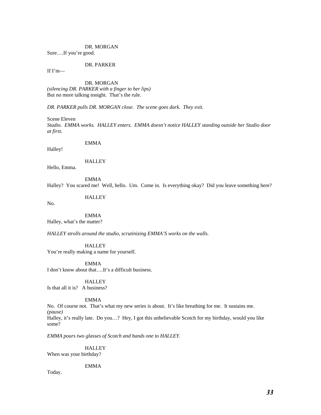#### DR. MORGAN

Sure….If you're good.

## DR. PARKER

If  $I'm$ —

 DR. MORGAN *(silencing DR. PARKER with a finger to her lips)*  But no more talking tonight. That's the rule.

*DR. PARKER pulls DR. MORGAN close. The scene goes dark. They exit.* 

Scene Eleven *Studio. EMMA works. HALLEY enters. EMMA doesn't notice HALLEY standing outside her Studio door at first.* 

#### EMMA

Halley!

HALLEY

Hello, Emma.

EMMA

Halley? You scared me! Well, hello. Um. Come in. Is everything okay? Did you leave something here?

**HALLEY** 

No.

 EMMA Halley, what's the matter?

*HALLEY strolls around the studio, scrutinizing EMMA'S works on the walls.* 

**HALLEY** You're really making a name for yourself.

 EMMA I don't know about that….It's a difficult business.

**HALLEY** 

Is that all it is? A business?

EMMA

No. Of course not. That's what my new series is about. It's like breathing for me. It sustains me. *(pause)* 

Halley, it's really late. Do you…? Hey, I got this unbelievable Scotch for my birthday, would you like some?

*EMMA pours two glasses of Scotch and hands one to HALLEY.* 

**HALLEY** 

When was your birthday?

EMMA

Today.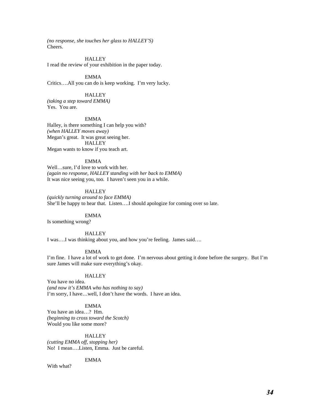*(no response, she touches her glass to HALLEY'S)*  Cheers.

#### **HALLEY**

I read the review of your exhibition in the paper today.

EMMA

Critics….All you can do is keep working. I'm very lucky.

## **HALLEY**

*(taking a step toward EMMA)*  Yes. You are.

#### EMMA

Halley, is there something I can help you with? *(when HALLEY moves away)*  Megan's great. It was great seeing her. **HALLEY** Megan wants to know if you teach art.

#### EMMA

Well…sure, I'd love to work with her. *(again no response, HALLEY standing with her back to EMMA)*  It was nice seeing you, too. I haven't seen you in a while.

## **HALLEY**

*(quickly turning around to face EMMA)*  She'll be happy to hear that. Listen….I should apologize for coming over so late.

#### EMMA

Is something wrong?

## **HALLEY**

I was….I was thinking about you, and how you're feeling. James said….

#### EMMA

I'm fine. I have a lot of work to get done. I'm nervous about getting it done before the surgery. But I'm sure James will make sure everything's okay.

#### **HALLEY**

You have no idea. *(and now it's EMMA who has nothing to say)*  I'm sorry, I have…well, I don't have the words. I have an idea.

## EMMA

You have an idea…? Hm. *(beginning to cross toward the Scotch)*  Would you like some more?

#### **HALLEY**

*(cutting EMMA off, stopping her)* No! I mean….Listen, Emma. Just be careful.

## EMMA

With what?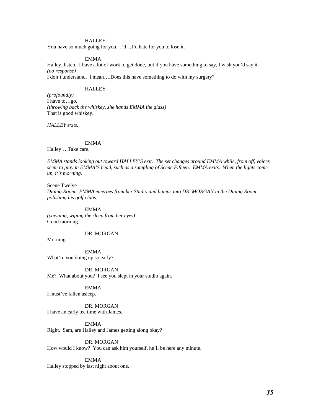## **HALLEY**

You have so much going for you. I'd…I'd hate for you to lose it.

#### EMMA

Halley, listen. I have a lot of work to get done, but if you have something to say, I wish you'd say it. *(no response)*  I don't understand. I mean….Does this have something to do with my surgery?

#### **HALLEY**

*(profoundly)*  I have to…go. *(throwing back the whiskey, she hands EMMA the glass)*  That is good whiskey.

*HALLEY exits.* 

#### EMMA

Halley….Take care.

*EMMA stands looking out toward HALLEY'S exit. The set changes around EMMA while, from off, voices seem to play in EMMA'S head, such as a sampling of Scene Fifteen. EMMA exits. When the lights come up, it's morning.* 

Scene Twelve *Dining Room. EMMA emerges from her Studio and bumps into DR. MORGAN in the Dining Room polishing his golf clubs.* 

 EMMA *(yawning, wiping the sleep from her eyes)* Good morning.

## DR. MORGAN

Morning.

 EMMA What're you doing up so early?

 DR. MORGAN Me? What about you? I see you slept in your studio again.

EMMA

I must've fallen asleep.

 DR. MORGAN I have an early tee time with James.

 EMMA Right. Sam, are Halley and James getting along okay?

 DR. MORGAN How would I know? You can ask him yourself, he'll be here any minute.

#### EMMA

Halley stopped by last night about one.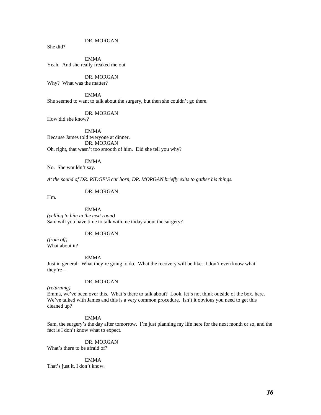DR. MORGAN

She did?

 EMMA Yeah. And she really freaked me out

 DR. MORGAN Why? What was the matter?

EMMA She seemed to want to talk about the surgery, but then she couldn't go there.

DR. MORGAN

How did she know?

 EMMA Because James told everyone at dinner. DR. MORGAN Oh, right, that wasn't too smooth of him. Did she tell you why?

#### EMMA

No. She wouldn't say.

*At the sound of DR. RIDGE'S car horn, DR. MORGAN briefly exits to gather his things.* 

DR. MORGAN

Hm.

#### EMMA

*(yelling to him in the next room)*  Sam will you have time to talk with me today about the surgery?

## DR. MORGAN

*(from off)*  What about it?

EMMA

Just in general. What they're going to do. What the recovery will be like. I don't even know what they're—

## DR. MORGAN

*(returning)* 

Emma, we've been over this. What's there to talk about? Look, let's not think outside of the box, here. We've talked with James and this is a very common procedure. Isn't it obvious you need to get this cleaned up?

#### EMMA

Sam, the surgery's the day after tomorrow. I'm just planning my life here for the next month or so, and the fact is I don't know what to expect.

DR. MORGAN

What's there to be afraid of?

## EMMA

That's just it, I don't know.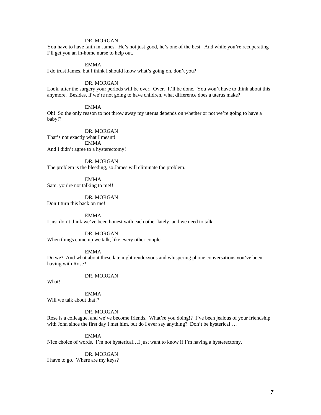## DR. MORGAN

You have to have faith in James. He's not just good, he's one of the best. And while you're recuperating I'll get you an in-home nurse to help out.

#### EMMA

I do trust James, but I think I should know what's going on, don't you?

#### DR. MORGAN

Look, after the surgery your periods will be over. Over. It'll be done. You won't have to think about this anymore. Besides, if we're not going to have children, what difference does a uterus make?

#### EMMA

Oh! So the only reason to not throw away my uterus depends on whether or not we're going to have a baby!?

#### DR. MORGAN

That's not exactly what I meant! EMMA And I didn't agree to a hysterectomy!

#### DR. MORGAN

The problem is the bleeding, so James will eliminate the problem.

 EMMA Sam, you're not talking to me!!

 DR. MORGAN Don't turn this back on me!

EMMA

I just don't think we've been honest with each other lately, and we need to talk.

## DR. MORGAN

When things come up we talk, like every other couple.

EMMA

Do we? And what about these late night rendezvous and whispering phone conversations you've been having with Rose?

## DR. MORGAN

What!

 EMMA Will we talk about that!?

## DR. MORGAN

Rose is a colleague, and we've become friends. What're you doing!? I've been jealous of your friendship with John since the first day I met him, but do I ever say anything? Don't be hysterical....

EMMA

Nice choice of words. I'm not hysterical…I just want to know if I'm having a hysterectomy.

#### DR. MORGAN

I have to go. Where are my keys?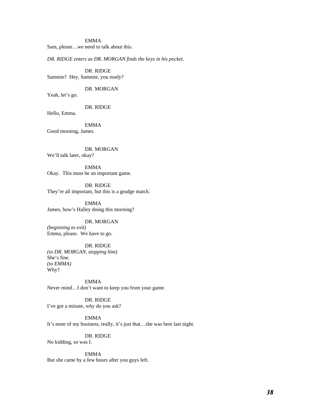#### EMMA

Sam, please…we need to talk about this.

*DR. RIDGE enters as DR. MORGAN finds the keys in his pocket.* 

DR. RIDGE Sammie? Hey, Sammie, you ready?

DR. MORGAN

Yeah, let's go.

DR. RIDGE

Hello, Emma.

 EMMA Good morning, James.

 DR. MORGAN We'll talk later, okay?

 EMMA Okay. This must be an important game.

 DR. RIDGE They're all important, but this is a grudge match.

 EMMA James, how's Halley doing this morning?

#### DR. MORGAN

*(beginning to exit)*  Emma, please. We have to go.

## DR. RIDGE

*(to DR. MORGAN, stopping him)*  She's fine. *(to EMMA)*  Why?

 EMMA Never mind…I don't want to keep you from your game.

 DR. RIDGE I've got a minute, why do you ask?

 EMMA It's none of my business, really, it's just that…she was here last night.

 DR. RIDGE No kidding, so was I.

 EMMA But she came by a few hours after you guys left.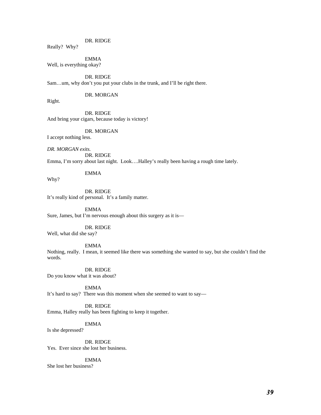Really? Why?

EMMA

Well, is everything okay?

 DR. RIDGE Sam…um, why don't you put your clubs in the trunk, and I'll be right there.

DR. MORGAN

Right.

Why?

 DR. RIDGE And bring your cigars, because today is victory!

DR. MORGAN

I accept nothing less.

*DR. MORGAN exits.*  DR. RIDGE Emma, I'm sorry about last night. Look….Halley's really been having a rough time lately.

EMMA

 DR. RIDGE It's really kind of personal. It's a family matter.

 EMMA Sure, James, but I'm nervous enough about this surgery as it is—

 DR. RIDGE Well, what did she say?

## EMMA

Nothing, really. I mean, it seemed like there was something she wanted to say, but she couldn't find the words.

 DR. RIDGE Do you know what it was about?

EMMA

It's hard to say? There was this moment when she seemed to want to say—

## DR. RIDGE

Emma, Halley really has been fighting to keep it together.

EMMA

Is she depressed?

 DR. RIDGE Yes. Ever since she lost her business.

## EMMA

She lost her business?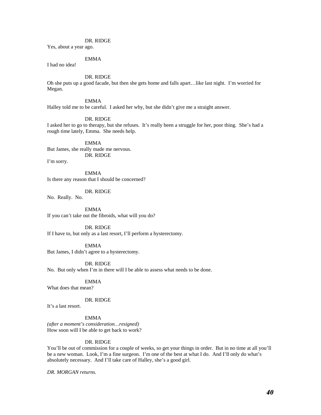Yes, about a year ago.

## EMMA

I had no idea!

## DR. RIDGE

Oh she puts up a good facade, but then she gets home and falls apart…like last night. I'm worried for Megan.

EMMA

Halley told me to be careful. I asked her why, but she didn't give me a straight answer.

DR. RIDGE

I asked her to go to therapy, but she refuses. It's really been a struggle for her, poor thing. She's had a rough time lately, Emma. She needs help.

 EMMA But James, she really made me nervous. DR. RIDGE

I'm sorry.

 EMMA Is there any reason that I should be concerned?

DR. RIDGE

No. Really. No.

 EMMA If you can't take out the fibroids, what will you do?

 DR. RIDGE If I have to, but only as a last resort, I'll perform a hysterectomy.

 EMMA But James, I didn't agree to a hysterectomy.

 DR. RIDGE No. But only when I'm in there will I be able to assess what needs to be done.

 EMMA What does that mean?

DR. RIDGE

It's a last resort.

EMMA

*(after a moment's consideration…resigned)*  How soon will I be able to get back to work?

#### DR. RIDGE

You'll be out of commission for a couple of weeks, so get your things in order. But in no time at all you'll be a new woman. Look, I'm a fine surgeon. I'm one of the best at what I do. And I'll only do what's absolutely necessary. And I'll take care of Halley, she's a good girl.

*DR. MORGAN returns.*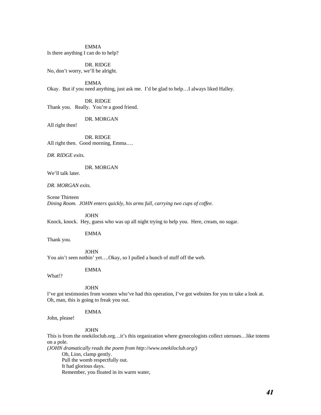EMMA Is there anything I can do to help?

 DR. RIDGE No, don't worry, we'll be alright.

 EMMA Okay. But if you need anything, just ask me. I'd be glad to help…I always liked Halley.

 DR. RIDGE Thank you. Really. You're a good friend.

DR. MORGAN

All right then!

 DR. RIDGE All right then. Good morning, Emma….

*DR. RIDGE exits.* 

DR. MORGAN

We'll talk later.

*DR. MORGAN exits.* 

Scene Thirteen *Dining Room. JOHN enters quickly, his arms full, carrying two cups of coffee.* 

**JOHN** 

Knock, knock. Hey, guess who was up all night trying to help you. Here, cream, no sugar.

EMMA

Thank you.

**JOHN** You ain't seen nothin' yet….Okay, so I pulled a bunch of stuff off the web.

EMMA

**JOHN** 

I've got testimonies from women who've had this operation, I've got websites for you to take a look at. Oh, man, this is going to freak you out.

## EMMA

John, please!

What!?

## **JOHN**

This is from the onekiloclub.org…it's this organization where gynecologists collect uteruses…like totems on a pole.

*(JOHN dramatically reads the poem from http://www.onekiloclub.org/)*  Oh, Lion, clamp gently. Pull the womb respectfully out.

 It had glorious days. Remember, you floated in its warm water,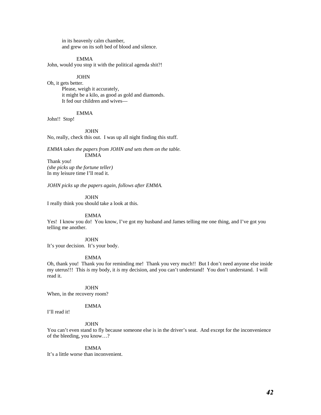in its heavenly calm chamber, and grew on its soft bed of blood and silence.

## EMMA

John, would you stop it with the political agenda shit?!

JOHN

Oh, it gets better. Please, weigh it accurately, it might be a kilo, as good as gold and diamonds. It fed our children and wives—

## EMMA

John!! Stop!

JOHN

No, really, check this out. I was up all night finding this stuff.

*EMMA takes the papers from JOHN and sets them on the table.*  EMMA

Thank you! *(she picks up the fortune teller)* In my leisure time I'll read it.

*JOHN picks up the papers again, follows after EMMA.* 

JOHN

I really think you should take a look at this.

## EMMA

Yes! I know you do! You know, I've got my husband and James telling me one thing, and I've got you telling me another.

#### **JOHN**

It's your decision. It's your body.

#### EMMA

Oh, thank you! Thank you for reminding me! Thank you very much!! But I don't need anyone else inside my uterus!!! This *is* my body, it *is* my decision, and you can't understand! You don't understand. I will read it.

#### **JOHN**

When, in the recovery room?

## EMMA

I'll read it!

### JOHN

You can't even stand to fly because someone else is in the driver's seat. And except for the inconvenience of the bleeding, you know…?

## EMMA

It's a little worse than inconvenient.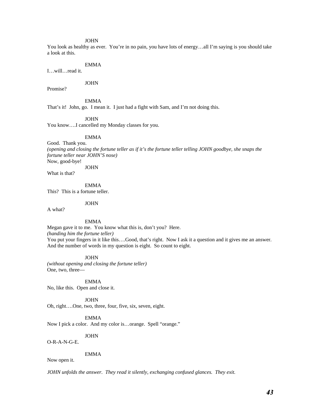#### **JOHN**

You look as healthy as ever. You're in no pain, you have lots of energy...all I'm saying is you should take a look at this.

## EMMA

I…will…read it.

## JOHN

Promise?

EMMA

That's it! John, go. I mean it. I just had a fight with Sam, and I'm not doing this.

JOHN

You know….I cancelled my Monday classes for you.

#### EMMA

Good. Thank you. *(opening and closing the fortune teller as if it's the fortune teller telling JOHN goodbye, she snaps the fortune teller near JOHN'S nose)*  Now, good-bye!

JOHN

What is that?

EMMA

This? This is a fortune teller.

JOHN

A what?

EMMA

Megan gave it to me. You know what this is, don't you? Here. *(handing him the fortune teller)*  You put your fingers in it like this....Good, that's right. Now I ask it a question and it gives me an answer. And the number of words in my question is eight. So count to eight.

JOHN

*(without opening and closing the fortune teller)*  One, two, three—

EMMA

No, like this. Open and close it.

JOHN

Oh, right….One, two, three, four, five, six, seven, eight.

EMMA

Now I pick a color. And my color is…orange. Spell "orange."

 JOHN O-R-A-N-G-E.

EMMA

Now open it.

*JOHN unfolds the answer. They read it silently, exchanging confused glances. They exit.*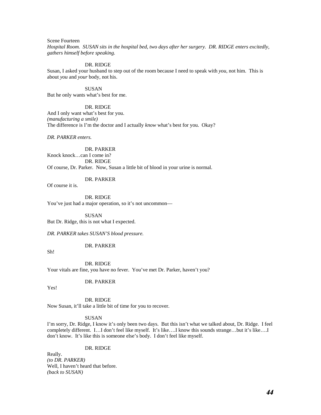Scene Fourteen

*Hospital Room. SUSAN sits in the hospital bed, two days after her surgery. DR. RIDGE enters excitedly, gathers himself before speaking.* 

#### DR. RIDGE

Susan, I asked your husband to step out of the room because I need to speak with *you*, not him. This is about *you* and *your* body, not his.

 SUSAN But he only wants what's best for me.

#### DR. RIDGE

And I only want what's best for you. *(manufacturing a smile)*  The difference is I'm the doctor and I actually *know* what's best for you. Okay?

*DR. PARKER enters.* 

 DR. PARKER Knock knock…can I come in? DR. RIDGE Of course, Dr. Parker. Now, Susan a little bit of blood in your urine is normal.

DR. PARKER

Of course it is.

DR. RIDGE

You've just had a major operation, so it's not uncommon—

SUSAN

But Dr. Ridge, this is not what I expected.

*DR. PARKER takes SUSAN'S blood pressure.* 

DR. PARKER

Sh!

 DR. RIDGE Your vitals are fine, you have no fever. You've met Dr. Parker, haven't you?

## DR. PARKER

Yes!

DR. RIDGE

Now Susan, it'll take a little bit of time for you to recover.

#### SUSAN

I'm sorry, Dr. Ridge, I know it's only been two days. But this isn't what we talked about, Dr. Ridge. I feel completely different. I…I don't feel like myself. It's like….I know this sounds strange…but it's like….I don't know. It's like this is someone else's body. I don't feel like myself.

## DR. RIDGE

Really. *(to DR. PARKER)*  Well, I haven't heard that before. *(back to SUSAN)*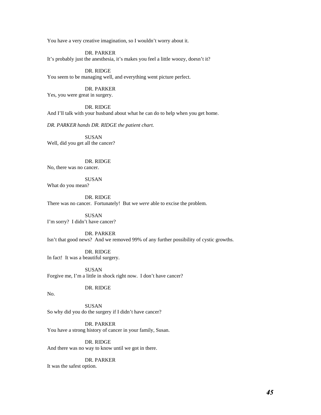You have a very creative imagination, so I wouldn't worry about it.

 DR. PARKER It's probably just the anesthesia, it's makes you feel a little woozy, doesn't it?

## DR. RIDGE

You seem to be managing well, and everything went picture perfect.

#### DR. PARKER

Yes, you were great in surgery.

#### DR. RIDGE

And I'll talk with your husband about what he can do to help when you get home.

*DR. PARKER hands DR. RIDGE the patient chart.* 

 SUSAN Well, did you get all the cancer?

## DR. RIDGE

No, there was no cancer.

 SUSAN What do you mean?

DR. RIDGE

There was no cancer. Fortunately! But we *were* able to excise the problem.

 SUSAN I'm sorry? I didn't have cancer?

## DR. PARKER Isn't that good news? And we removed 99% of any further possibility of cystic growths.

 DR. RIDGE In fact! It was a beautiful surgery.

 SUSAN Forgive me, I'm a little in shock right now. I don't have cancer?

## DR. RIDGE

No.

 SUSAN So why did you do the surgery if I didn't have cancer?

 DR. PARKER You have a strong history of cancer in your family, Susan.

 DR. RIDGE And there was no way to know until we got in there.

#### DR. PARKER

It was the safest option.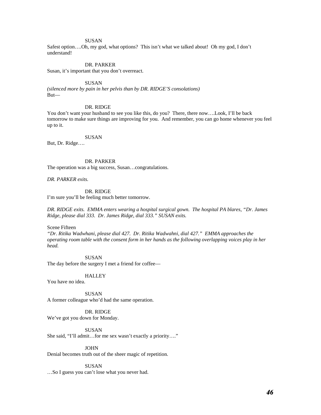#### **SUSAN**

Safest option….Oh, my god, what options? This isn't what we talked about! Oh my god, I don't understand!

#### DR. PARKER

Susan, it's important that you don't overreact.

#### SUSAN

*(silenced more by pain in her pelvis than by DR. RIDGE'S consolations)*  But—

#### DR. RIDGE

You don't want your husband to see you like this, do you? There, there now....Look, I'll be back tomorrow to make sure things are improving for you. And remember, you can go home whenever you feel up to it.

#### SUSAN

But, Dr. Ridge….

## DR. PARKER

The operation was a big success, Susan…congratulations.

*DR. PARKER exits.* 

## DR. RIDGE

I'm sure you'll be feeling much better tomorrow.

*DR. RIDGE exits. EMMA enters wearing a hospital surgical gown. The hospital PA blares, "Dr. James Ridge, please dial 333. Dr. James Ridge, dial 333." SUSAN exits.* 

Scene Fifteen

*"Dr. Ritika Wadwhani, please dial 427. Dr. Ritika Wadwahni, dial 427." EMMA approaches the operating room table with the consent form in her hands as the following overlapping voices play in her head.* 

SUSAN

The day before the surgery I met a friend for coffee—

**HALLEY** 

You have no idea.

 SUSAN A former colleague who'd had the same operation.

 DR. RIDGE We've got you down for Monday.

SUSAN

She said, "I'll admit…for me sex wasn't exactly a priority…."

JOHN

Denial becomes truth out of the sheer magic of repetition.

#### SUSAN

…So I guess you can't lose what you never had.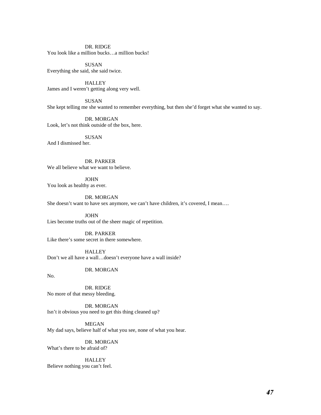DR. RIDGE You look like a million bucks…a million bucks!

 SUSAN Everything she said, she said twice.

 HALLEY James and I weren't getting along very well.

 SUSAN She kept telling me she wanted to remember everything, but then she'd forget what she wanted to say.

 DR. MORGAN Look, let's not think outside of the box, here.

 SUSAN And I dismissed her.

DR. PARKER We all believe what we want to believe.

 JOHN You look as healthy as ever.

 DR. MORGAN She doesn't want to have sex anymore, we can't have children, it's covered, I mean….

 JOHN Lies become truths out of the sheer magic of repetition.

 DR. PARKER Like there's some secret in there somewhere.

**HALLEY** Don't we all have a wall…doesn't everyone have a wall inside?

DR. MORGAN

No.

 DR. RIDGE No more of that messy bleeding.

 DR. MORGAN Isn't it obvious you need to get this thing cleaned up?

MEGAN My dad says, believe half of what you see, none of what you hear.

 DR. MORGAN What's there to be afraid of?

**HALLEY** 

Believe nothing you can't feel.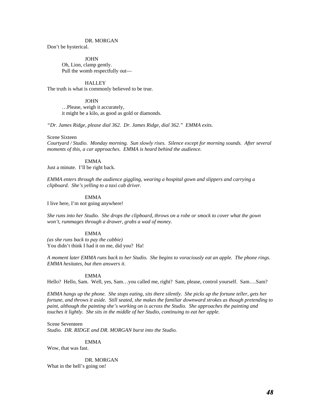DR. MORGAN Don't be hysterical.

> **JOHN**  Oh, Lion, clamp gently. Pull the womb respectfully out—

> > **HALLEY**

The truth is what is commonly believed to be true.

JOHN

 …Please, weigh it accurately, it might be a kilo, as good as gold or diamonds.

*"Dr. James Ridge, please dial 362. Dr. James Ridge, dial 362." EMMA exits.* 

Scene Sixteen

*Courtyard / Studio. Monday morning. Sun slowly rises. Silence except for morning sounds. After several moments of this, a car approaches. EMMA is heard behind the audience.* 

#### EMMA

Just a minute. I'll be right back.

*EMMA enters through the audience giggling, wearing a hospital gown and slippers and carrying a clipboard. She's yelling to a taxi cab driver.* 

EMMA

I live here, I'm not going anywhere!

*She runs into her Studio. She drops the clipboard, throws on a robe or smock to cover what the gown won't, rummages through a drawer, grabs a wad of money.* 

EMMA

*(as she runs back to pay the cabbie)*  You didn't think I had it on me, did you? Ha!

*A moment later EMMA runs back to her Studio. She begins to voraciously eat an apple. The phone rings. EMMA hesitates, but then answers it.* 

#### EMMA

Hello? Hello, Sam. Well, yes, Sam…you called me, right? Sam, please, control yourself. Sam….Sam?

*EMMA hangs up the phone. She stops eating, sits there silently. She picks up the fortune teller, gets her fortune, and throws it aside. Still seated, she makes the familiar downward strokes as though pretending to paint, although the painting she's working on is across the Studio. She approaches the painting and touches it lightly. She sits in the middle of her Studio, continuing to eat her apple.* 

Scene Seventeen

*Studio. DR. RIDGE and DR. MORGAN burst into the Studio.*

EMMA

Wow, that was fast.

 DR. MORGAN What in the hell's going on!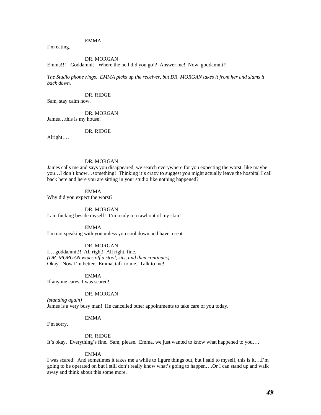## EMMA

I'm eating.

#### DR. MORGAN

Emma!!!! Goddamnit! Where the hell did you go!? Answer me! Now, goddamnit!!

*The Studio phone rings. EMMA picks up the receiver, but DR. MORGAN takes it from her and slams it back down.* 

DR. RIDGE

Sam, stay calm now.

 DR. MORGAN James…this is my house!

DR. RIDGE

Alright….

## DR. MORGAN

James calls me and says you disappeared, we search everywhere for you expecting the worst, like maybe you…I don't know…something! Thinking it's crazy to suggest you might actually leave the hospital I call back here and here you are sitting in your studio like nothing happened?

EMMA

Why did you expect the worst?

#### DR. MORGAN

I am fucking beside myself! I'm ready to crawl out of my skin!

#### EMMA

I'm not speaking with you unless you cool down and have a seat.

#### DR. MORGAN

I….goddamnit!! All right! All right, fine. *(DR. MORGAN wipes off a stool, sits, and then continues)*  Okay. Now I'm better. Emma, talk to me. Talk to me!

#### EMMA

If anyone cares, I was scared!

#### DR. MORGAN

*(standing again)*  James is a very busy man! He cancelled other appointments to take care of you today.

#### EMMA

I'm sorry.

#### DR. RIDGE

It's okay. Everything's fine. Sam, please. Emma, we just wanted to know what happened to you….

#### EMMA

I was scared! And sometimes it takes me a while to figure things out, but I said to myself, this is it….I'm going to be operated on but I still don't really know what's going to happen….Or I can stand up and walk away and think about this some more.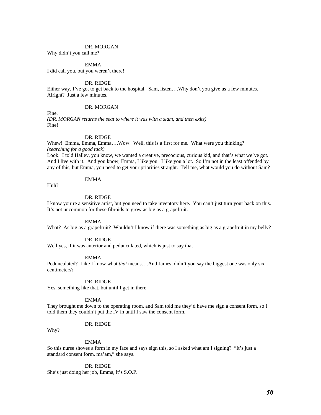#### DR. MORGAN

Why didn't you call me?

EMMA

I did call you, but you weren't there!

## DR. RIDGE

Either way, I've got to get back to the hospital. Sam, listen….Why don't you give us a few minutes. Alright? Just a few minutes.

## DR. MORGAN

Fine.

*(DR. MORGAN returns the seat to where it was with a slam, and then exits)* Fine!

#### DR. RIDGE

Whew! Emma, Emma, Emma….Wow. Well, this is a first for me. What were you thinking? *(searching for a good tack)* 

Look. I told Halley, you know, we wanted a creative, precocious, curious kid, and that's what we've got. And I live with it. And you know, Emma, I like you. I like you a lot. So I'm not in the least offended by any of this, but Emma, you need to get your priorities straight. Tell me, what would you do without Sam?

## EMMA

Huh?

#### DR. RIDGE

I know you're a sensitive artist, but you need to take inventory here. You can't just turn your back on this. It's not uncommon for these fibroids to grow as big as a grapefruit.

#### EMMA

What? As big as a grapefruit? Wouldn't I know if there was something as big as a grapefruit in my belly?

#### DR. RIDGE

Well yes, if it was anterior and pedunculated, which is just to say that—

#### EMMA

Pedunculated? Like I know what *that* means….And James, didn't you say the biggest one was only six centimeters?

#### DR. RIDGE

Yes, something like that, but until I get in there—

#### EMMA

They brought me down to the operating room, and Sam told me they'd have me sign a consent form, so I told them they couldn't put the IV in until I saw the consent form.

## DR. RIDGE

Why?

#### EMMA

So this nurse shoves a form in my face and says sign this, so I asked what am I signing? "It's just a standard consent form, ma'am," she says.

#### DR. RIDGE

She's just doing her job, Emma, it's S.O.P.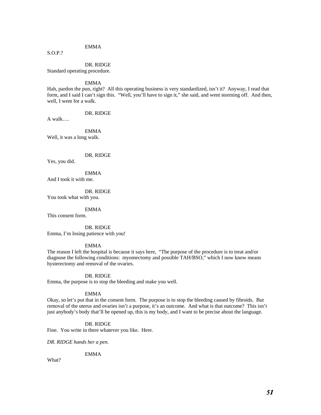## EMMA

S.O.P.?

 DR. RIDGE Standard operating procedure.

EMMA

Hah, pardon the pun, right? All this operating business is very standardized, isn't it? Anyway, I read that form, and I said I can't sign this. "Well, you'll have to sign it," she said, and went storming off. And then, well, I went for a walk.

DR. RIDGE

A walk….

 EMMA Well, it was a long walk.

DR. RIDGE

Yes, you did.

 EMMA And I took it with me.

 DR. RIDGE You took what with you.

EMMA

This consent form.

DR. RIDGE Emma, I'm losing patience with you!

#### EMMA

The reason I left the hospital is because it says here, "The purpose of the procedure is to treat and/or diagnose the following conditions: myomectomy and possible TAH/BSO," which I now know means hysterectomy and removal of the ovaries.

#### DR. RIDGE

Emma, the purpose is to stop the bleeding and make you well.

## EMMA

Okay, so let's put that in the consent form. The purpose is to stop the bleeding caused by fibroids. But removal of the uterus and ovaries isn't a purpose, it's an outcome. And what is that outcome? This isn't just anybody's body that'll be opened up, this is my body, and I want to be precise about the language.

## DR. RIDGE

Fine. You write in there whatever you like. Here.

*DR. RIDGE hands her a pen.* 

## EMMA

What?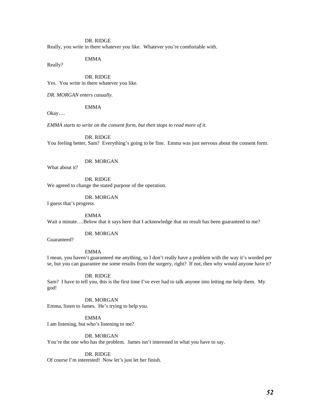Really, you write in there whatever you like. Whatever you're comfortable with.

## EMMA

Really?

 DR. RIDGE Yes. You write in there whatever you like.

*DR. MORGAN enters casually.*

## EMMA

Okay….

*EMMA starts to write on the consent form, but then stops to read more of it.* 

DR. RIDGE

You feeling better, Sam? Everything's going to be fine. Emma was just nervous about the consent form.

DR. MORGAN

What about it?

DR. RIDGE

We agreed to change the stated purpose of the operation.

 DR. MORGAN I guess that's progress.

 EMMA Wait a minute....Below that it says here that I acknowledge that no result has been guaranteed to me?

DR. MORGAN

Guaranteed?

EMMA

I mean, you haven't guaranteed me anything, so I don't really have a problem with the way it's worded per se, but you can guarantee me some results from the surgery, right? If not, then why would anyone have it?

DR. RIDGE

Sam? I have to tell you, this is the first time I've ever had to talk anyone into letting me help them. My god!

 DR. MORGAN Emma, listen to James. He's trying to help you.

 EMMA I am listening, but who's listening to me?

 DR. MORGAN You're the one who has the problem. James isn't interested in what you have to say.

 DR. RIDGE Of course I'm interested! Now let's just let her finish.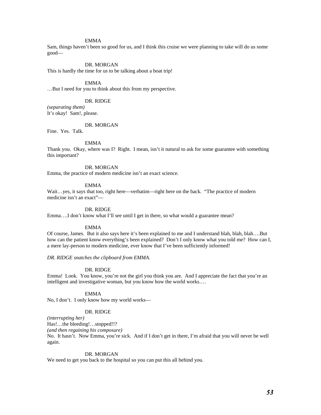#### EMMA

Sam, things haven't been so good for us, and I think this cruise we were planning to take will do us some good—

#### DR. MORGAN

This is hardly the time for us to be talking about a boat trip!

#### EMMA

…But I need for you to think about this from my perspective.

## DR. RIDGE

*(separating them)*  It's okay! Sam!, please.

## DR. MORGAN

Fine. Yes. Talk.

#### EMMA

Thank you. Okay, where was I? Right. I mean, isn't it natural to ask for some guarantee with something this important?

#### DR. MORGAN

Emma, the practice of modern medicine isn't an exact science.

#### EMMA

Wait…yes, it says that too, right here—verbatim—right here on the back. "The practice of modern medicine isn't an exact"—

## DR. RIDGE

Emma....I don't know what I'll see until I get in there, so what would a guarantee mean?

#### EMMA

Of course, James. But it also says here it's been explained to me and I understand blah, blah, blah….But how can the patient know everything's been explained? Don't I only know what you told me? How can I, a mere lay-person to modern medicine, ever know that I've been sufficiently informed!

*DR. RIDGE snatches the clipboard from EMMA.* 

#### DR. RIDGE

Emma! Look. You know, you're not the girl you think you are. And I appreciate the fact that you're an intelligent and investigative woman, but you know how the world works….

#### EMMA

No, I don't. I only know how my world works—

#### DR. RIDGE

*(interrupting her)* 

Has!…the bleeding!…stopped!!?

*(and then regaining his composure)* 

No. It hasn't. Now Emma, you're sick. And if I don't get in there, I'm afraid that you will never be well again.

#### DR. MORGAN

We need to get you back to the hospital so you can put this all behind you.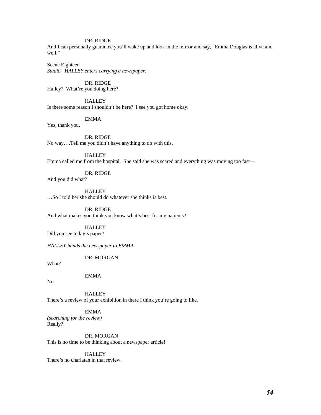And I can personally guarantee you'll wake up and look in the mirror and say, "Emma Douglas is alive and well."

Scene Eighteen *Studio. HALLEY enters carrying a newspaper.* 

DR. RIDGE

Halley? What're you doing here?

**HALLEY** 

Is there some reason I shouldn't be here? I see you got home okay.

EMMA

Yes, thank you.

 DR. RIDGE No way….Tell me you didn't have anything to do with this.

 HALLEY Emma called me from the hospital. She said she was scared and everything was moving too fast—

DR. RIDGE

And you did what?

**HALLEY** 

…So I told her she should do whatever she thinks is best.

DR. RIDGE

And what makes you think you know what's best for my patients?

HALLEY

Did you see today's paper?

*HALLEY hands the newspaper to EMMA.* 

DR. MORGAN

What?

EMMA

No.

**HALLEY** 

There's a review of your exhibition in there I think you're going to like.

EMMA

*(searching for the review)* Really?

DR. MORGAN

This is no time to be thinking about a newspaper article!

**HALLEY** 

There's no charlatan in that review.

*54*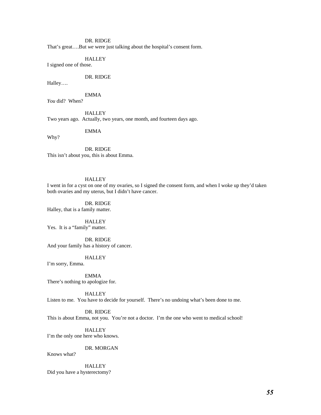That's great….But *we* were just talking about the hospital's consent form.

**HALLEY** 

I signed one of those.

## DR. RIDGE

Halley….

EMMA

*You* did? When?

**HALLEY** Two years ago. Actually, two years, one month, and fourteen days ago.

EMMA

Why?

 DR. RIDGE This isn't about you, this is about Emma.

## **HALLEY**

I went in for a cyst on one of my ovaries, so I signed the consent form, and when I woke up they'd taken both ovaries and my uterus, but I didn't have cancer.

 DR. RIDGE Halley, that is a family matter.

**HALLEY** Yes. It is a "family" matter.

 DR. RIDGE And your family has a history of cancer.

#### **HALLEY**

I'm sorry, Emma.

 EMMA There's nothing to apologize for.

HALLEY

Listen to me. You have to decide for yourself. There's no undoing what's been done to me.

DR. RIDGE

This is about Emma, not you. You're not a doctor. I'm the one who went to medical school!

**HALLEY** I'm the only one here who knows.

DR. MORGAN

Knows what?

HALLEY

Did you have a hysterectomy?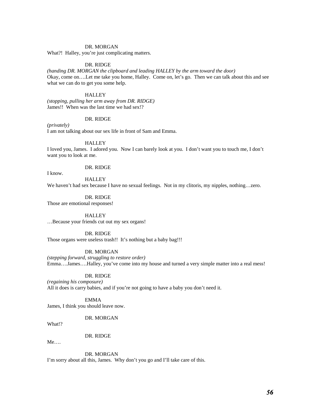#### DR. MORGAN

What?! Halley, you're just complicating matters.

#### DR. RIDGE

*(handing DR. MORGAN the clipboard and leading HALLEY by the arm toward the door)*  Okay, come on….Let me take you home, Halley. Come on, let's go. Then we can talk about this and see what we can do to get you some help.

## **HALLEY**

*(stopping, pulling her arm away from DR. RIDGE)*  James!! When was the last time we had sex!?

#### DR. RIDGE

*(privately)*  I am not talking about our sex life in front of Sam and Emma.

#### **HALLEY**

I loved you, James. I adored you. Now I can barely look at you. I don't want you to touch me, I don't want you to look at me.

#### DR. RIDGE

I know.

**HALLEY** We haven't had sex because I have no sexual feelings. Not in my clitoris, my nipples, nothing... zero.

 DR. RIDGE Those are emotional responses!

**HALLEY** …Because your friends cut out my sex organs!

## DR. RIDGE

Those organs were useless trash!! It's nothing but a baby bag!!!

DR. MORGAN

*(stepping forward, struggling to restore order)*  Emma….James….Halley, you've come into my house and turned a very simple matter into a real mess!

#### DR. RIDGE

*(regaining his composure)*  All it does is carry babies, and if you're not going to have a baby you don't need it.

EMMA

James, I think you should leave now.

## DR. MORGAN

What!?

#### DR. RIDGE

Me….

 DR. MORGAN I'm sorry about all this, James. Why don't you go and I'll take care of this.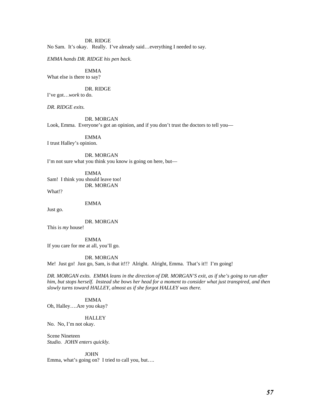DR. RIDGE No Sam. It's okay. Really. I've already said…everything I needed to say.

*EMMA hands DR. RIDGE his pen back.*

 EMMA What else is there to say?

 DR. RIDGE I've got…*work* to do.

*DR. RIDGE exits.* 

DR. MORGAN

Look, Emma. Everyone's got an opinion, and if you don't trust the doctors to tell you—

EMMA

I trust Halley's opinion.

 DR. MORGAN I'm not sure what you think you know is going on here, but—

 EMMA Sam! I think you should leave too! DR. MORGAN

What!?

EMMA

Just go.

DR. MORGAN

This is *my* house!

 EMMA If you care for me at all, you'll go.

DR. MORGAN

Me! Just go! Just go, Sam, is that it!!? Alright. Alright, Emma. That's it!! I'm going!

*DR. MORGAN exits. EMMA leans in the direction of DR. MORGAN'S exit, as if she's going to run after him, but stops herself. Instead she bows her head for a moment to consider what just transpired, and then slowly turns toward HALLEY, almost as if she forgot HALLEY was there.* 

 EMMA Oh, Halley….Are you okay?

**HALLEY** 

No. No, I'm not okay.

Scene Nineteen *Studio. JOHN enters quickly.* 

**JOHN** Emma, what's going on? I tried to call you, but….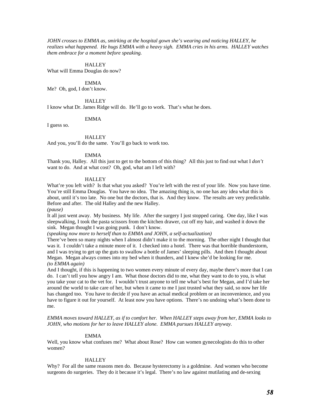*JOHN crosses to EMMA as, smirking at the hospital gown she's wearing and noticing HALLEY, he realizes what happened. He hugs EMMA with a heavy sigh. EMMA cries in his arms. HALLEY watches them embrace for a moment before speaking.* 

#### **HALLEY**

What will Emma Douglas do now?

## EMMA

Me? Oh, god, I don't know.

#### **HALLEY**

I know what Dr. James Ridge will do. He'll go to work. That's what he does.

#### EMMA

I guess so.

#### **HALLEY**

And you, you'll do the same. You'll go back to work too.

### EMMA

Thank you, Halley. All this just to get to the bottom of this thing? All this just to find out what I *don't* want to do. And at what cost? Oh, god, what am I left with?

#### **HALLEY**

What're you left with? Is that what you asked? You're left with the rest of your life. Now you have time. You're still Emma Douglas. You have no idea. The amazing thing is, no one has any idea what this is about, until it's too late. No one but the doctors, that is. And they know. The results are very predictable. Before and after. The old Halley and the new Halley.

*(pause)* 

It all just went away. My business. My life. After the surgery I just stopped caring. One day, like I was sleepwalking, I took the pasta scissors from the kitchen drawer, cut off my hair, and washed it down the sink. Megan thought I was going punk. I don't know.

*(speaking now more to herself than to EMMA and JOHN, a self-actualization)*

There've been so many nights when I almost didn't make it to the morning. The other night I thought that was it. I couldn't take a minute more of it. I checked into a hotel. There was that horrible thunderstorm, and I was trying to get up the guts to swallow a bottle of James' sleeping pills. And then I thought about Megan. Megan always comes into my bed when it thunders, and I knew she'd be looking for me. *(to EMMA again)* 

And I thought, if this is happening to two women every minute of every day, maybe there's more that I can do. I can't tell you how angry I am. What those doctors did to me, what they want to do to you, is what you take your cat to the vet for. I wouldn't trust anyone to tell me what's best for Megan, and I'd take her around the world to take care of her, but when it came to me I just trusted what they said, so now her life has changed too. You have to decide if you have an actual medical problem or an inconvenience, and you have to figure it out for yourself. At least now you have options. There's no undoing what's been done to me.

*EMMA moves toward HALLEY, as if to comfort her. When HALLEY steps away from her, EMMA looks to JOHN, who motions for her to leave HALLEY alone. EMMA pursues HALLEY anyway.* 

#### EMMA

Well, you know what confuses me? What about Rose? How can women gynecologists do this to other women?

#### **HALLEY**

Why? For all the same reasons men do. Because hysterectomy is a goldmine. And women who become surgeons do surgeries. They do it because it's legal. There's no law against mutilating and de-sexing